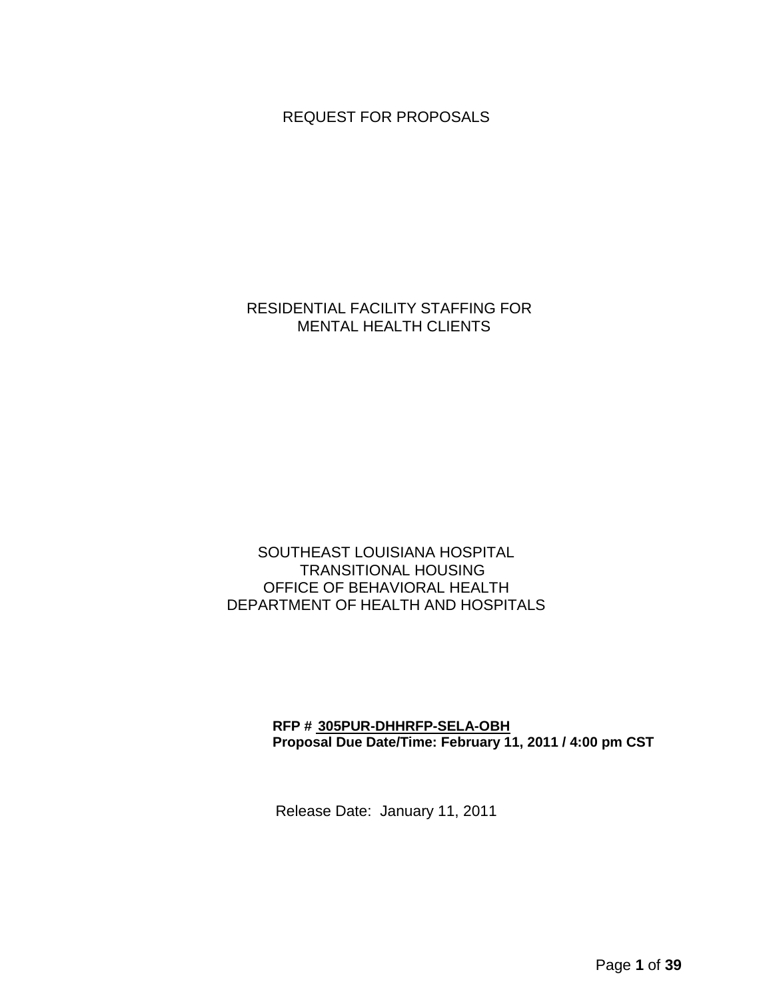REQUEST FOR PROPOSALS

## RESIDENTIAL FACILITY STAFFING FOR MENTAL HEALTH CLIENTS

## SOUTHEAST LOUISIANA HOSPITAL TRANSITIONAL HOUSING OFFICE OF BEHAVIORAL HEALTH DEPARTMENT OF HEALTH AND HOSPITALS

### **RFP # 305PUR-DHHRFP-SELA-OBH Proposal Due Date/Time: February 11, 2011 / 4:00 pm CST**

Release Date: January 11, 2011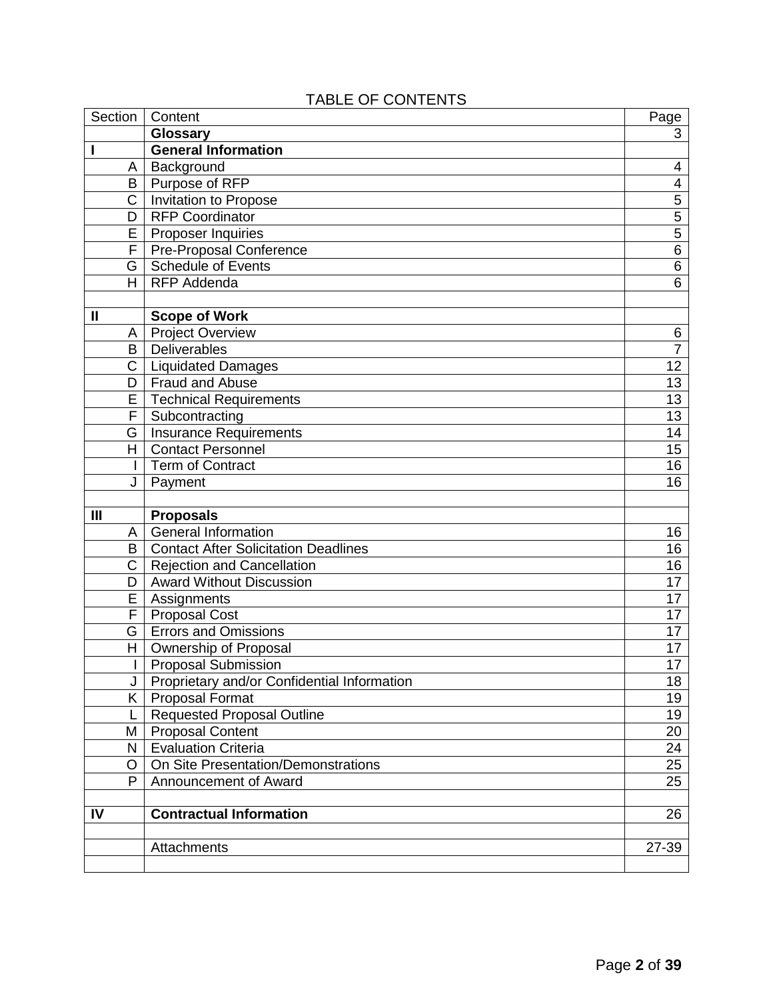|              | - - - - -                     |                 |
|--------------|-------------------------------|-----------------|
| Section      | Content                       | Page            |
|              | <b>Glossary</b>               | 3               |
|              | <b>General Information</b>    |                 |
| A            | Background                    | 4               |
| B            | Purpose of RFP                | 4               |
| С            | Invitation to Propose         | 5               |
| D            | <b>RFP Coordinator</b>        | 5               |
| E            | Proposer Inquiries            | 5               |
| F            | Pre-Proposal Conference       | 6               |
| G            | <b>Schedule of Events</b>     | 6               |
| Н            | <b>RFP Addenda</b>            | 6               |
|              |                               |                 |
| $\mathbf{I}$ | <b>Scope of Work</b>          |                 |
| Α            | <b>Project Overview</b>       | 6               |
| B            | <b>Deliverables</b>           | $\overline{7}$  |
| С            | Liquidated Damages            | 12 <sub>2</sub> |
| D            | Fraud and Abuse               | 13              |
| E            | <b>Technical Requirements</b> | 13              |
| F            | Subcontracting                | 13              |
|              |                               |                 |

# TABLE OF CONTENTS

| $\mathbf{I}$ | <b>Scope of Work</b>                        |                 |
|--------------|---------------------------------------------|-----------------|
| Α            | <b>Project Overview</b>                     | 6               |
| B            | Deliverables                                | $\overline{7}$  |
| $\mathsf{C}$ | <b>Liquidated Damages</b>                   | $\overline{12}$ |
| D            | <b>Fraud and Abuse</b>                      | 13              |
| E            | <b>Technical Requirements</b>               | 13              |
| F            | Subcontracting                              | 13              |
| G.           | <b>Insurance Requirements</b>               | $\overline{14}$ |
| нI           | <b>Contact Personnel</b>                    | $\overline{15}$ |
|              | <b>Term of Contract</b>                     | 16              |
| J            | Payment                                     | 16              |
|              |                                             |                 |
| III          | <b>Proposals</b>                            |                 |
| A            | <b>General Information</b>                  | 16              |
| B            | <b>Contact After Solicitation Deadlines</b> | $\overline{16}$ |
| C            | <b>Rejection and Cancellation</b>           | 16              |
| D            | <b>Award Without Discussion</b>             | 17              |
| Ē            | Assignments                                 | $\overline{17}$ |
| F            | <b>Proposal Cost</b>                        | $\overline{17}$ |
| G            | <b>Errors and Omissions</b>                 | 17              |
| H.           | Ownership of Proposal                       | $\overline{17}$ |
| $\mathbf{I}$ | <b>Proposal Submission</b>                  | $\overline{17}$ |
| J            | Proprietary and/or Confidential Information | 18              |
| K.           | <b>Proposal Format</b>                      | 19              |
| L            | <b>Requested Proposal Outline</b>           | $\overline{19}$ |
| М            | <b>Proposal Content</b>                     | $\overline{20}$ |
| ΝI           | <b>Evaluation Criteria</b>                  | 24              |
| O            | On Site Presentation/Demonstrations         | $\overline{25}$ |
| P            | Announcement of Award                       | $\overline{25}$ |
| IV           | <b>Contractual Information</b>              | 26              |
|              | Attachments                                 | 27-39           |
|              |                                             |                 |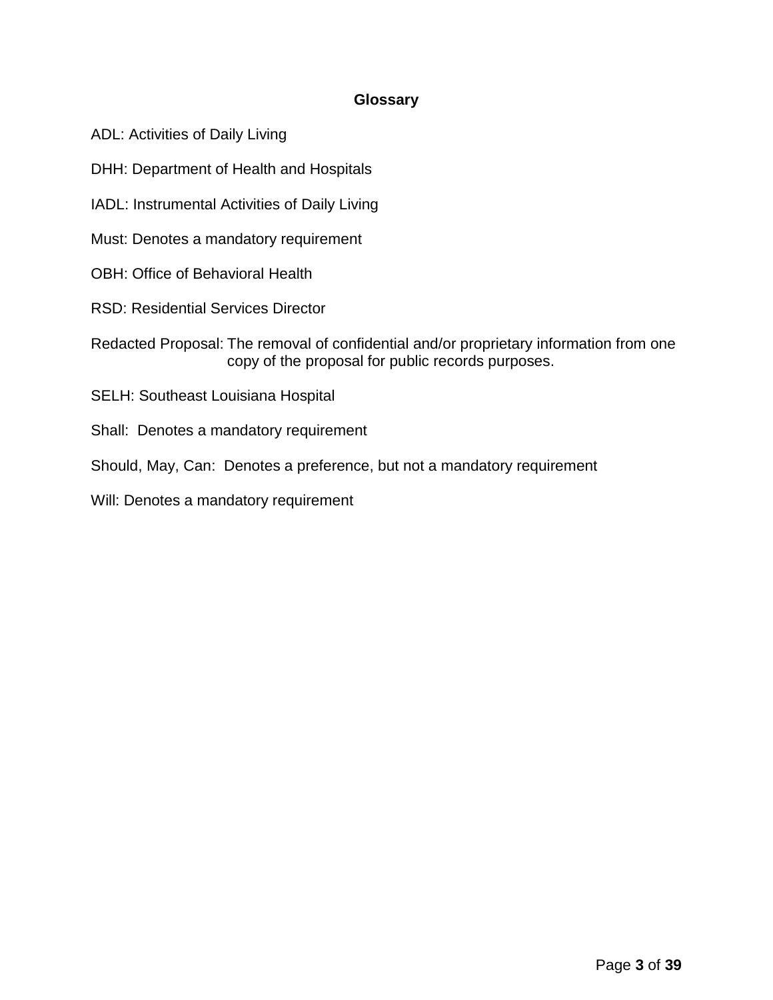## **Glossary**

- ADL: Activities of Daily Living
- DHH: Department of Health and Hospitals
- IADL: Instrumental Activities of Daily Living
- Must: Denotes a mandatory requirement
- OBH: Office of Behavioral Health
- RSD: Residential Services Director
- Redacted Proposal: The removal of confidential and/or proprietary information from one copy of the proposal for public records purposes.
- SELH: Southeast Louisiana Hospital
- Shall: Denotes a mandatory requirement
- Should, May, Can: Denotes a preference, but not a mandatory requirement
- Will: Denotes a mandatory requirement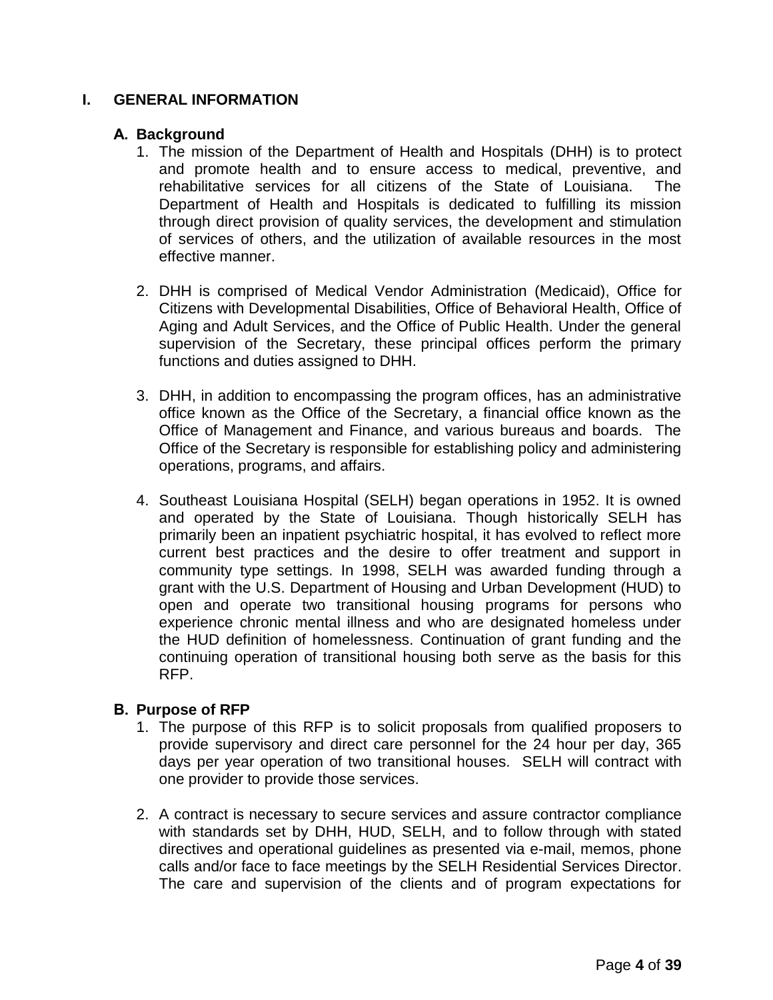## **I. GENERAL INFORMATION**

### **A. Background**

- 1. The mission of the Department of Health and Hospitals (DHH) is to protect and promote health and to ensure access to medical, preventive, and rehabilitative services for all citizens of the State of Louisiana. The Department of Health and Hospitals is dedicated to fulfilling its mission through direct provision of quality services, the development and stimulation of services of others, and the utilization of available resources in the most effective manner.
- 2. DHH is comprised of Medical Vendor Administration (Medicaid), Office for Citizens with Developmental Disabilities, Office of Behavioral Health, Office of Aging and Adult Services, and the Office of Public Health. Under the general supervision of the Secretary, these principal offices perform the primary functions and duties assigned to DHH.
- 3. DHH, in addition to encompassing the program offices, has an administrative office known as the Office of the Secretary, a financial office known as the Office of Management and Finance, and various bureaus and boards. The Office of the Secretary is responsible for establishing policy and administering operations, programs, and affairs.
- 4. Southeast Louisiana Hospital (SELH) began operations in 1952. It is owned and operated by the State of Louisiana. Though historically SELH has primarily been an inpatient psychiatric hospital, it has evolved to reflect more current best practices and the desire to offer treatment and support in community type settings. In 1998, SELH was awarded funding through a grant with the U.S. Department of Housing and Urban Development (HUD) to open and operate two transitional housing programs for persons who experience chronic mental illness and who are designated homeless under the HUD definition of homelessness. Continuation of grant funding and the continuing operation of transitional housing both serve as the basis for this RFP.

## **B. Purpose of RFP**

- 1. The purpose of this RFP is to solicit proposals from qualified proposers to provide supervisory and direct care personnel for the 24 hour per day, 365 days per year operation of two transitional houses. SELH will contract with one provider to provide those services.
- 2. A contract is necessary to secure services and assure contractor compliance with standards set by DHH, HUD, SELH, and to follow through with stated directives and operational guidelines as presented via e-mail, memos, phone calls and/or face to face meetings by the SELH Residential Services Director. The care and supervision of the clients and of program expectations for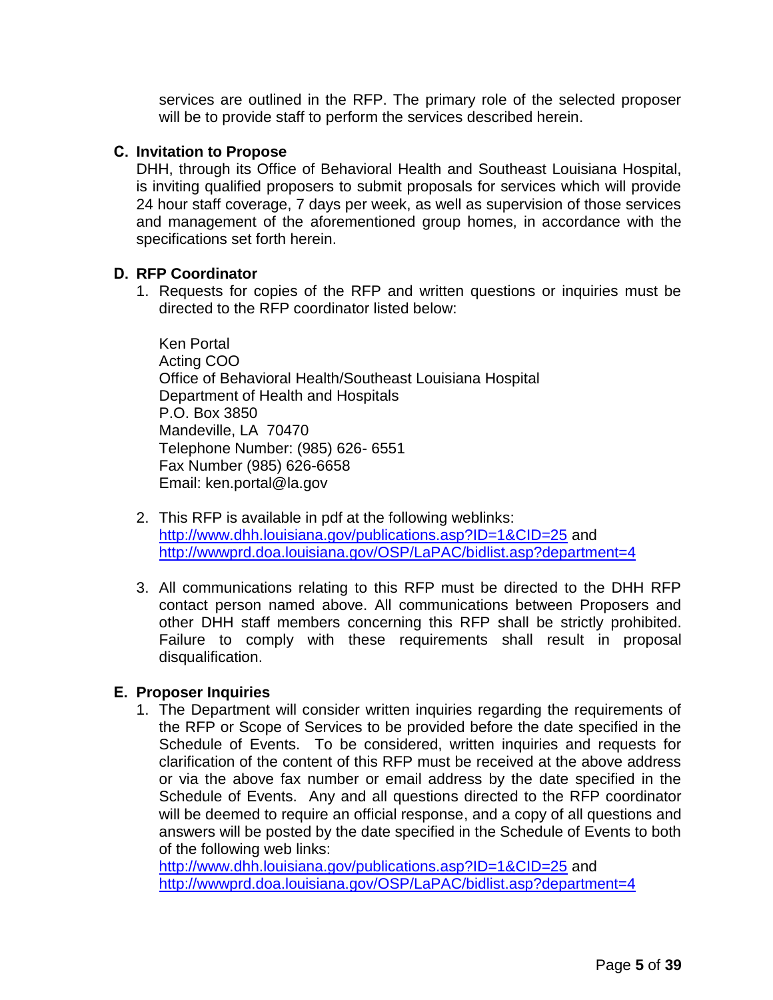services are outlined in the RFP. The primary role of the selected proposer will be to provide staff to perform the services described herein.

### **C. Invitation to Propose**

DHH, through its Office of Behavioral Health and Southeast Louisiana Hospital, is inviting qualified proposers to submit proposals for services which will provide 24 hour staff coverage, 7 days per week, as well as supervision of those services and management of the aforementioned group homes, in accordance with the specifications set forth herein.

### **D. RFP Coordinator**

1. Requests for copies of the RFP and written questions or inquiries must be directed to the RFP coordinator listed below:

Ken Portal Acting COO Office of Behavioral Health/Southeast Louisiana Hospital Department of Health and Hospitals P.O. Box 3850 Mandeville, LA 70470 Telephone Number: (985) 626- 6551 Fax Number (985) 626-6658 Email: ken.portal@la.gov

- 2. This RFP is available in pdf at the following weblinks: <http://www.dhh.louisiana.gov/publications.asp?ID=1&CID=25> and <http://wwwprd.doa.louisiana.gov/OSP/LaPAC/bidlist.asp?department=4>
- 3. All communications relating to this RFP must be directed to the DHH RFP contact person named above. All communications between Proposers and other DHH staff members concerning this RFP shall be strictly prohibited. Failure to comply with these requirements shall result in proposal disqualification.

### **E. Proposer Inquiries**

1. The Department will consider written inquiries regarding the requirements of the RFP or Scope of Services to be provided before the date specified in the Schedule of Events. To be considered, written inquiries and requests for clarification of the content of this RFP must be received at the above address or via the above fax number or email address by the date specified in the Schedule of Events. Any and all questions directed to the RFP coordinator will be deemed to require an official response, and a copy of all questions and answers will be posted by the date specified in the Schedule of Events to both of the following web links:

<http://www.dhh.louisiana.gov/publications.asp?ID=1&CID=25> and <http://wwwprd.doa.louisiana.gov/OSP/LaPAC/bidlist.asp?department=4>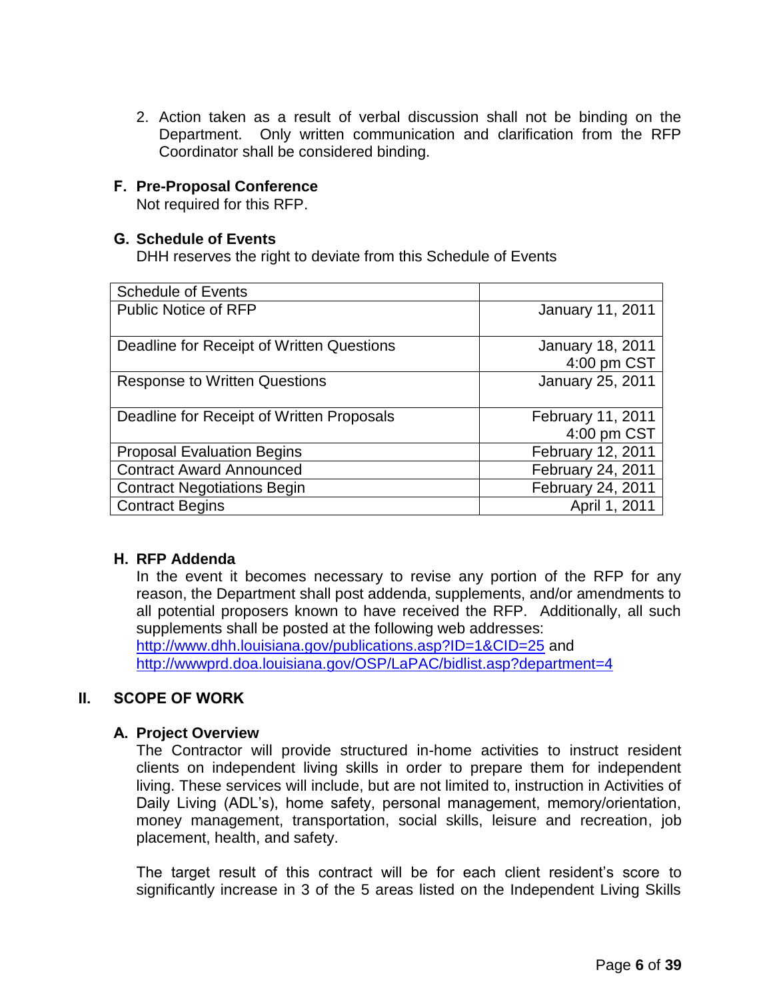2. Action taken as a result of verbal discussion shall not be binding on the Department. Only written communication and clarification from the RFP Coordinator shall be considered binding.

## **F. Pre-Proposal Conference**

Not required for this RFP.

### **G. Schedule of Events**

DHH reserves the right to deviate from this Schedule of Events

| <b>Schedule of Events</b>                 |                                        |
|-------------------------------------------|----------------------------------------|
| <b>Public Notice of RFP</b>               | January 11, 2011                       |
| Deadline for Receipt of Written Questions | <b>January 18, 2011</b><br>4:00 pm CST |
| <b>Response to Written Questions</b>      | January 25, 2011                       |
| Deadline for Receipt of Written Proposals | February 11, 2011<br>4:00 pm CST       |
| <b>Proposal Evaluation Begins</b>         | February 12, 2011                      |
| <b>Contract Award Announced</b>           | February 24, 2011                      |
| <b>Contract Negotiations Begin</b>        | February 24, 2011                      |
| <b>Contract Begins</b>                    | April 1, 2011                          |

## **H. RFP Addenda**

In the event it becomes necessary to revise any portion of the RFP for any reason, the Department shall post addenda, supplements, and/or amendments to all potential proposers known to have received the RFP. Additionally, all such supplements shall be posted at the following web addresses:

<http://www.dhh.louisiana.gov/publications.asp?ID=1&CID=25> and <http://wwwprd.doa.louisiana.gov/OSP/LaPAC/bidlist.asp?department=4>

## **II. SCOPE OF WORK**

## **A. Project Overview**

The Contractor will provide structured in-home activities to instruct resident clients on independent living skills in order to prepare them for independent living. These services will include, but are not limited to, instruction in Activities of Daily Living (ADL's), home safety, personal management, memory/orientation, money management, transportation, social skills, leisure and recreation, job placement, health, and safety.

The target result of this contract will be for each client resident's score to significantly increase in 3 of the 5 areas listed on the Independent Living Skills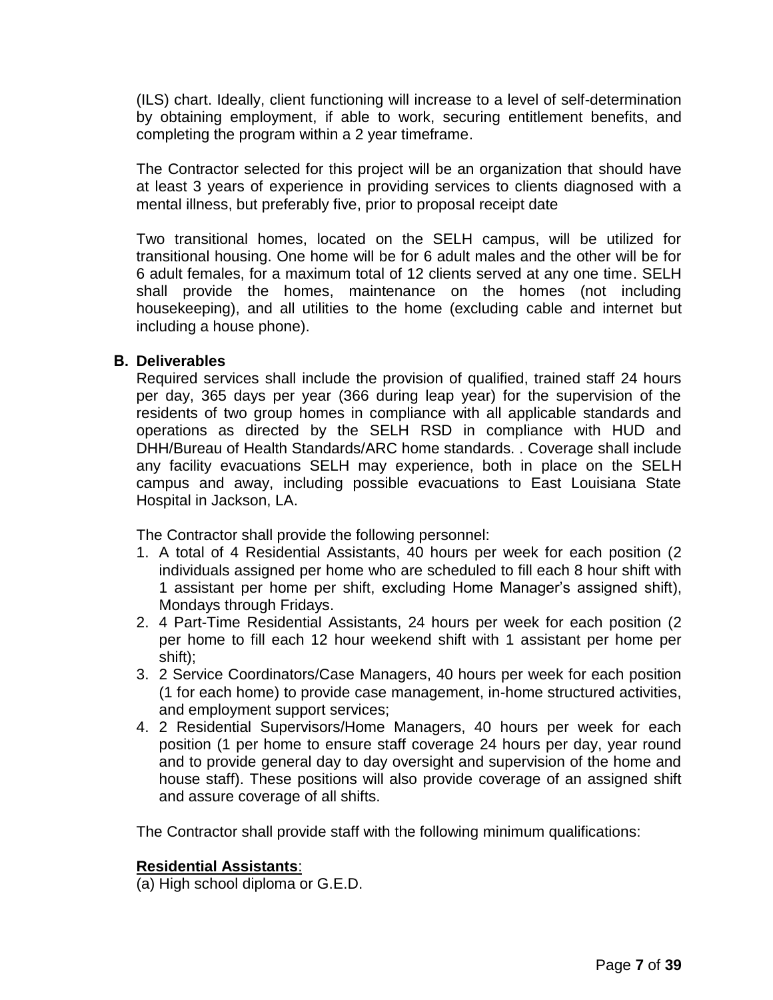(ILS) chart. Ideally, client functioning will increase to a level of self-determination by obtaining employment, if able to work, securing entitlement benefits, and completing the program within a 2 year timeframe.

The Contractor selected for this project will be an organization that should have at least 3 years of experience in providing services to clients diagnosed with a mental illness, but preferably five, prior to proposal receipt date

Two transitional homes, located on the SELH campus, will be utilized for transitional housing. One home will be for 6 adult males and the other will be for 6 adult females, for a maximum total of 12 clients served at any one time. SELH shall provide the homes, maintenance on the homes (not including housekeeping), and all utilities to the home (excluding cable and internet but including a house phone).

## **B. Deliverables**

Required services shall include the provision of qualified, trained staff 24 hours per day, 365 days per year (366 during leap year) for the supervision of the residents of two group homes in compliance with all applicable standards and operations as directed by the SELH RSD in compliance with HUD and DHH/Bureau of Health Standards/ARC home standards. . Coverage shall include any facility evacuations SELH may experience, both in place on the SELH campus and away, including possible evacuations to East Louisiana State Hospital in Jackson, LA.

The Contractor shall provide the following personnel:

- 1. A total of 4 Residential Assistants, 40 hours per week for each position (2 individuals assigned per home who are scheduled to fill each 8 hour shift with 1 assistant per home per shift, excluding Home Manager's assigned shift), Mondays through Fridays.
- 2. 4 Part-Time Residential Assistants, 24 hours per week for each position (2 per home to fill each 12 hour weekend shift with 1 assistant per home per shift);
- 3. 2 Service Coordinators/Case Managers, 40 hours per week for each position (1 for each home) to provide case management, in-home structured activities, and employment support services;
- 4. 2 Residential Supervisors/Home Managers, 40 hours per week for each position (1 per home to ensure staff coverage 24 hours per day, year round and to provide general day to day oversight and supervision of the home and house staff). These positions will also provide coverage of an assigned shift and assure coverage of all shifts.

The Contractor shall provide staff with the following minimum qualifications:

## **Residential Assistants**:

(a) High school diploma or G.E.D.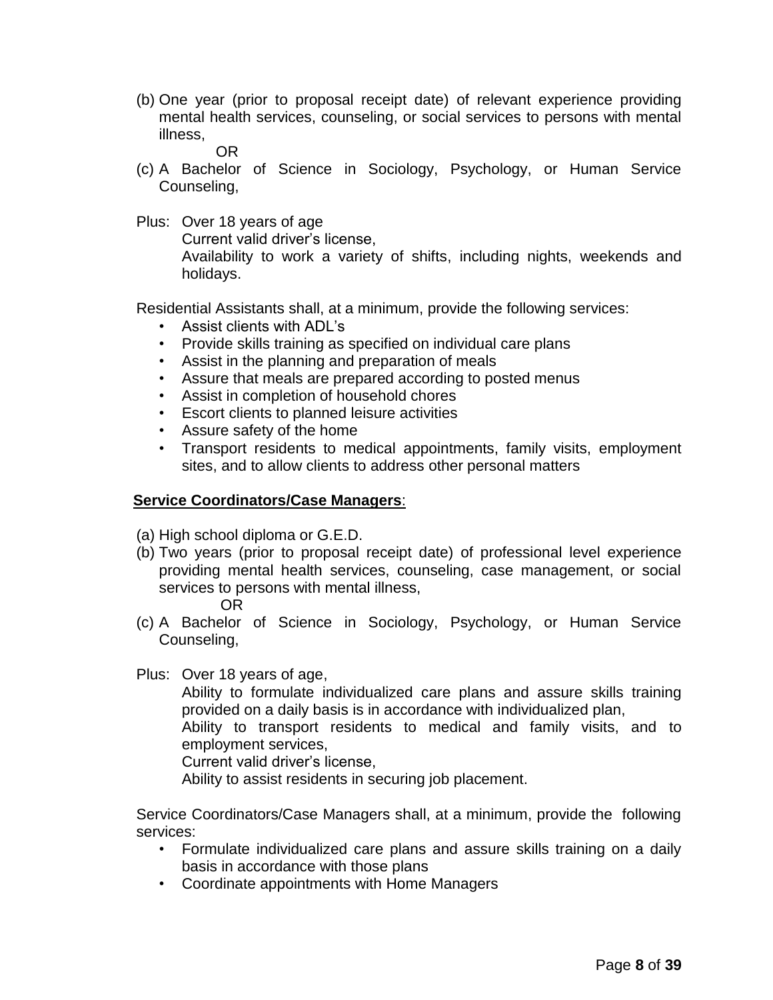(b) One year (prior to proposal receipt date) of relevant experience providing mental health services, counseling, or social services to persons with mental illness,

OR

- (c) A Bachelor of Science in Sociology, Psychology, or Human Service Counseling,
- Plus: Over 18 years of age

Current valid driver's license,

Availability to work a variety of shifts, including nights, weekends and holidays.

Residential Assistants shall, at a minimum, provide the following services:

- Assist clients with ADL's
- Provide skills training as specified on individual care plans
- Assist in the planning and preparation of meals
- Assure that meals are prepared according to posted menus
- Assist in completion of household chores
- Escort clients to planned leisure activities
- Assure safety of the home
- Transport residents to medical appointments, family visits, employment sites, and to allow clients to address other personal matters

## **Service Coordinators/Case Managers**:

(a) High school diploma or G.E.D.

(b) Two years (prior to proposal receipt date) of professional level experience providing mental health services, counseling, case management, or social services to persons with mental illness,

#### OR

(c) A Bachelor of Science in Sociology, Psychology, or Human Service Counseling,

Plus: Over 18 years of age,

Ability to formulate individualized care plans and assure skills training provided on a daily basis is in accordance with individualized plan,

Ability to transport residents to medical and family visits, and to employment services,

Current valid driver's license,

Ability to assist residents in securing job placement.

Service Coordinators/Case Managers shall, at a minimum, provide the following services:

- Formulate individualized care plans and assure skills training on a daily basis in accordance with those plans
- Coordinate appointments with Home Managers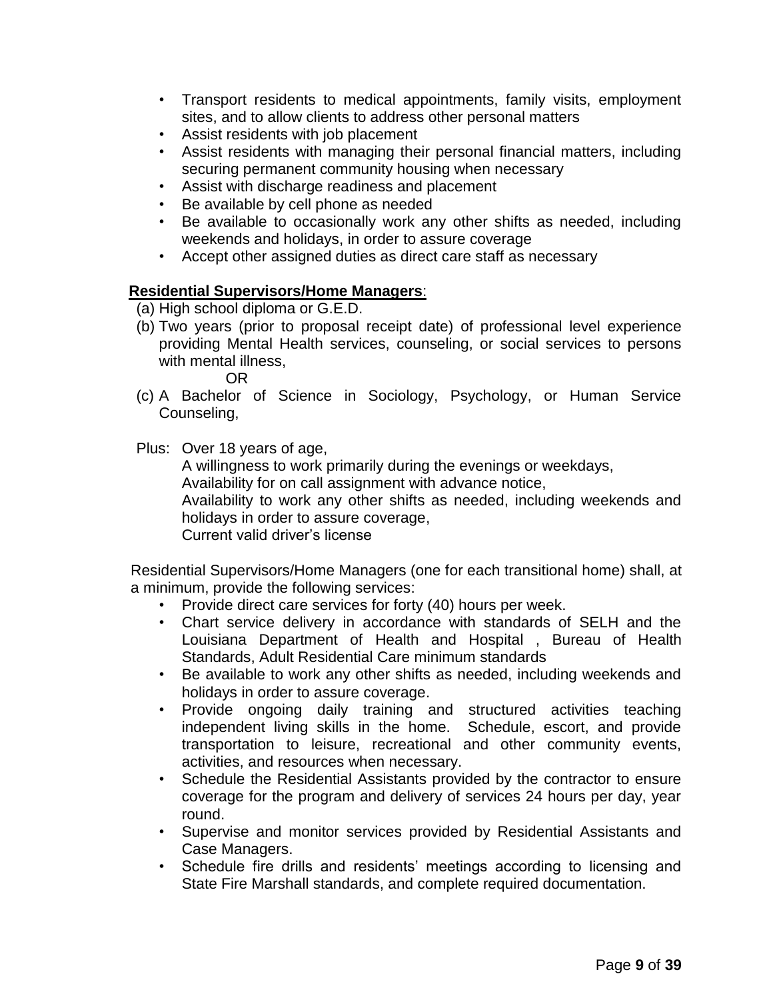- Transport residents to medical appointments, family visits, employment sites, and to allow clients to address other personal matters
- Assist residents with job placement
- Assist residents with managing their personal financial matters, including securing permanent community housing when necessary
- Assist with discharge readiness and placement
- Be available by cell phone as needed
- Be available to occasionally work any other shifts as needed, including weekends and holidays, in order to assure coverage
- Accept other assigned duties as direct care staff as necessary

### **Residential Supervisors/Home Managers**:

(a) High school diploma or G.E.D.

(b) Two years (prior to proposal receipt date) of professional level experience providing Mental Health services, counseling, or social services to persons with mental illness,

OR

(c) A Bachelor of Science in Sociology, Psychology, or Human Service Counseling,

Plus: Over 18 years of age,

A willingness to work primarily during the evenings or weekdays, Availability for on call assignment with advance notice, Availability to work any other shifts as needed, including weekends and holidays in order to assure coverage, Current valid driver's license

Residential Supervisors/Home Managers (one for each transitional home) shall, at a minimum, provide the following services:

- Provide direct care services for forty (40) hours per week.
- Chart service delivery in accordance with standards of SELH and the Louisiana Department of Health and Hospital , Bureau of Health Standards, Adult Residential Care minimum standards
- Be available to work any other shifts as needed, including weekends and holidays in order to assure coverage.
- Provide ongoing daily training and structured activities teaching independent living skills in the home. Schedule, escort, and provide transportation to leisure, recreational and other community events, activities, and resources when necessary.
- Schedule the Residential Assistants provided by the contractor to ensure coverage for the program and delivery of services 24 hours per day, year round.
- Supervise and monitor services provided by Residential Assistants and Case Managers.
- Schedule fire drills and residents' meetings according to licensing and State Fire Marshall standards, and complete required documentation.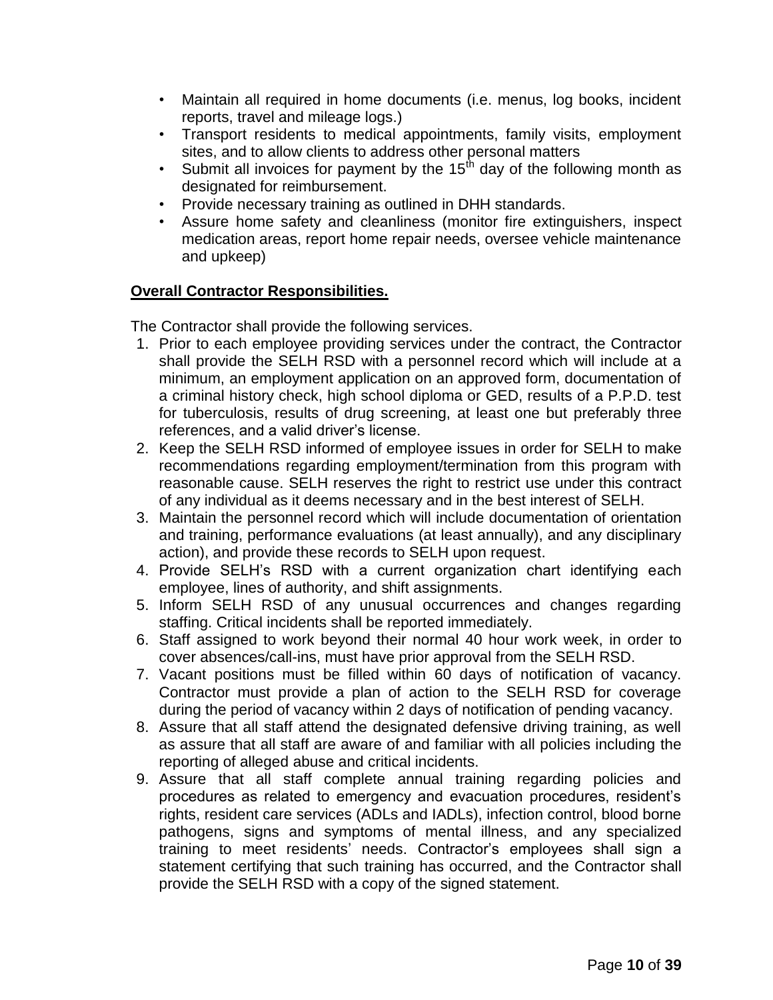- Maintain all required in home documents (i.e. menus, log books, incident reports, travel and mileage logs.)
- Transport residents to medical appointments, family visits, employment sites, and to allow clients to address other personal matters
- Submit all invoices for payment by the 15<sup>th</sup> day of the following month as designated for reimbursement.
- Provide necessary training as outlined in DHH standards.
- Assure home safety and cleanliness (monitor fire extinguishers, inspect medication areas, report home repair needs, oversee vehicle maintenance and upkeep)

# **Overall Contractor Responsibilities.**

The Contractor shall provide the following services.

- 1. Prior to each employee providing services under the contract, the Contractor shall provide the SELH RSD with a personnel record which will include at a minimum, an employment application on an approved form, documentation of a criminal history check, high school diploma or GED, results of a P.P.D. test for tuberculosis, results of drug screening, at least one but preferably three references, and a valid driver's license.
- 2. Keep the SELH RSD informed of employee issues in order for SELH to make recommendations regarding employment/termination from this program with reasonable cause. SELH reserves the right to restrict use under this contract of any individual as it deems necessary and in the best interest of SELH.
- 3. Maintain the personnel record which will include documentation of orientation and training, performance evaluations (at least annually), and any disciplinary action), and provide these records to SELH upon request.
- 4. Provide SELH's RSD with a current organization chart identifying each employee, lines of authority, and shift assignments.
- 5. Inform SELH RSD of any unusual occurrences and changes regarding staffing. Critical incidents shall be reported immediately.
- 6. Staff assigned to work beyond their normal 40 hour work week, in order to cover absences/call-ins, must have prior approval from the SELH RSD.
- 7. Vacant positions must be filled within 60 days of notification of vacancy. Contractor must provide a plan of action to the SELH RSD for coverage during the period of vacancy within 2 days of notification of pending vacancy.
- 8. Assure that all staff attend the designated defensive driving training, as well as assure that all staff are aware of and familiar with all policies including the reporting of alleged abuse and critical incidents.
- 9. Assure that all staff complete annual training regarding policies and procedures as related to emergency and evacuation procedures, resident's rights, resident care services (ADLs and IADLs), infection control, blood borne pathogens, signs and symptoms of mental illness, and any specialized training to meet residents' needs. Contractor's employees shall sign a statement certifying that such training has occurred, and the Contractor shall provide the SELH RSD with a copy of the signed statement.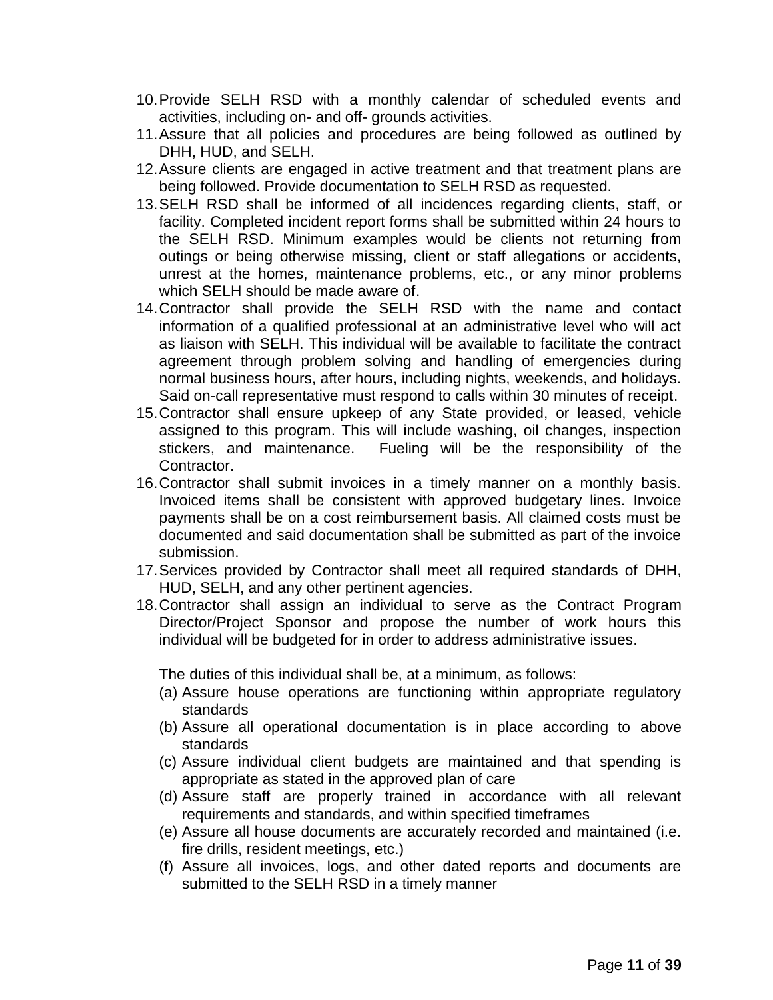- 10.Provide SELH RSD with a monthly calendar of scheduled events and activities, including on- and off- grounds activities.
- 11.Assure that all policies and procedures are being followed as outlined by DHH, HUD, and SELH.
- 12.Assure clients are engaged in active treatment and that treatment plans are being followed. Provide documentation to SELH RSD as requested.
- 13.SELH RSD shall be informed of all incidences regarding clients, staff, or facility. Completed incident report forms shall be submitted within 24 hours to the SELH RSD. Minimum examples would be clients not returning from outings or being otherwise missing, client or staff allegations or accidents, unrest at the homes, maintenance problems, etc., or any minor problems which SELH should be made aware of.
- 14.Contractor shall provide the SELH RSD with the name and contact information of a qualified professional at an administrative level who will act as liaison with SELH. This individual will be available to facilitate the contract agreement through problem solving and handling of emergencies during normal business hours, after hours, including nights, weekends, and holidays. Said on-call representative must respond to calls within 30 minutes of receipt.
- 15.Contractor shall ensure upkeep of any State provided, or leased, vehicle assigned to this program. This will include washing, oil changes, inspection stickers, and maintenance. Fueling will be the responsibility of the Contractor.
- 16.Contractor shall submit invoices in a timely manner on a monthly basis. Invoiced items shall be consistent with approved budgetary lines. Invoice payments shall be on a cost reimbursement basis. All claimed costs must be documented and said documentation shall be submitted as part of the invoice submission.
- 17.Services provided by Contractor shall meet all required standards of DHH, HUD, SELH, and any other pertinent agencies.
- 18.Contractor shall assign an individual to serve as the Contract Program Director/Project Sponsor and propose the number of work hours this individual will be budgeted for in order to address administrative issues.

The duties of this individual shall be, at a minimum, as follows:

- (a) Assure house operations are functioning within appropriate regulatory standards
- (b) Assure all operational documentation is in place according to above standards
- (c) Assure individual client budgets are maintained and that spending is appropriate as stated in the approved plan of care
- (d) Assure staff are properly trained in accordance with all relevant requirements and standards, and within specified timeframes
- (e) Assure all house documents are accurately recorded and maintained (i.e. fire drills, resident meetings, etc.)
- (f) Assure all invoices, logs, and other dated reports and documents are submitted to the SELH RSD in a timely manner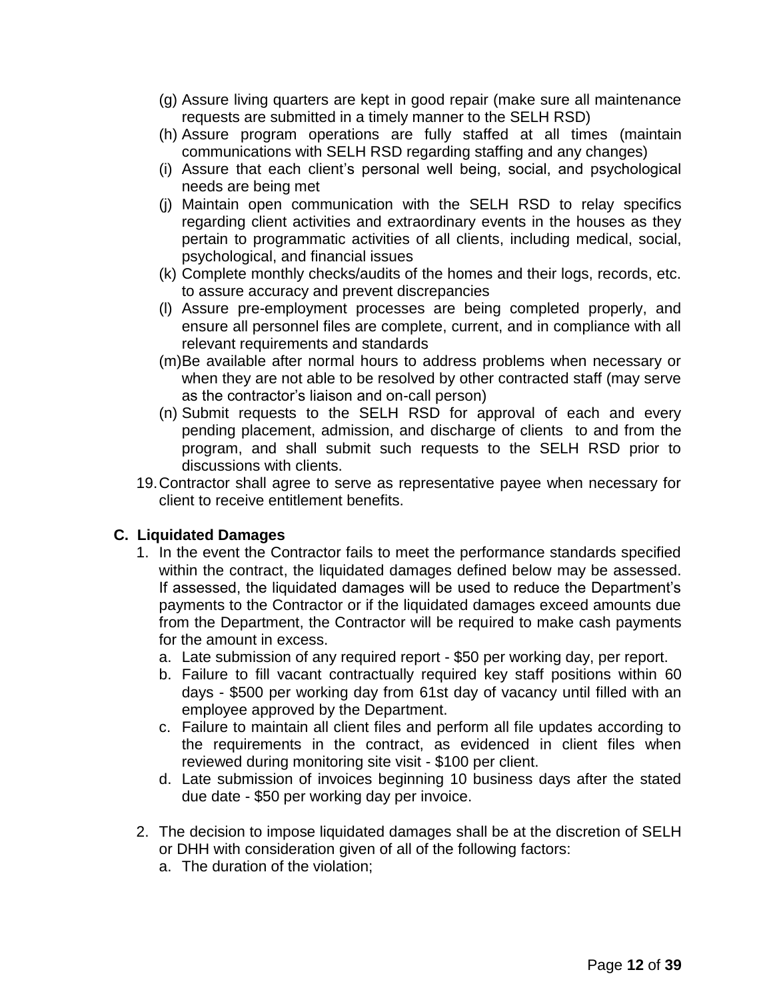- (g) Assure living quarters are kept in good repair (make sure all maintenance requests are submitted in a timely manner to the SELH RSD)
- (h) Assure program operations are fully staffed at all times (maintain communications with SELH RSD regarding staffing and any changes)
- (i) Assure that each client's personal well being, social, and psychological needs are being met
- (j) Maintain open communication with the SELH RSD to relay specifics regarding client activities and extraordinary events in the houses as they pertain to programmatic activities of all clients, including medical, social, psychological, and financial issues
- (k) Complete monthly checks/audits of the homes and their logs, records, etc. to assure accuracy and prevent discrepancies
- (l) Assure pre-employment processes are being completed properly, and ensure all personnel files are complete, current, and in compliance with all relevant requirements and standards
- (m)Be available after normal hours to address problems when necessary or when they are not able to be resolved by other contracted staff (may serve as the contractor's liaison and on-call person)
- (n) Submit requests to the SELH RSD for approval of each and every pending placement, admission, and discharge of clients to and from the program, and shall submit such requests to the SELH RSD prior to discussions with clients.
- 19.Contractor shall agree to serve as representative payee when necessary for client to receive entitlement benefits.

## **C. Liquidated Damages**

- 1. In the event the Contractor fails to meet the performance standards specified within the contract, the liquidated damages defined below may be assessed. If assessed, the liquidated damages will be used to reduce the Department's payments to the Contractor or if the liquidated damages exceed amounts due from the Department, the Contractor will be required to make cash payments for the amount in excess.
	- a. Late submission of any required report \$50 per working day, per report.
	- b. Failure to fill vacant contractually required key staff positions within 60 days - \$500 per working day from 61st day of vacancy until filled with an employee approved by the Department.
	- c. Failure to maintain all client files and perform all file updates according to the requirements in the contract, as evidenced in client files when reviewed during monitoring site visit - \$100 per client.
	- d. Late submission of invoices beginning 10 business days after the stated due date - \$50 per working day per invoice.
- 2. The decision to impose liquidated damages shall be at the discretion of SELH or DHH with consideration given of all of the following factors:
	- a. The duration of the violation;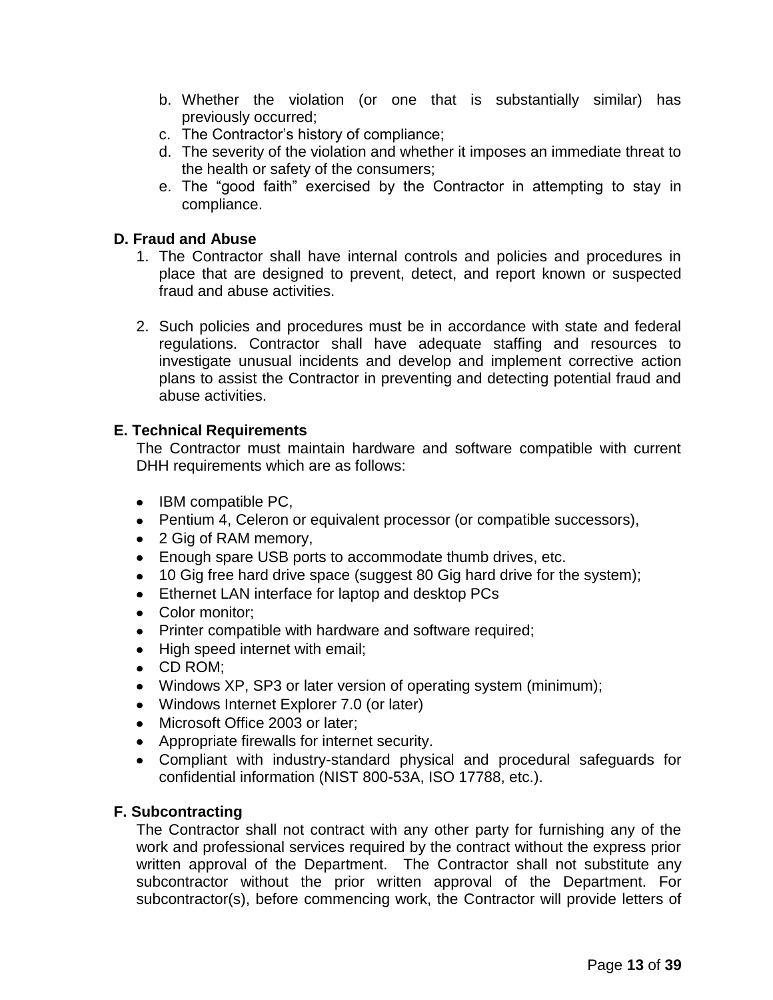- b. Whether the violation (or one that is substantially similar) has previously occurred;
- c. The Contractor's history of compliance;
- d. The severity of the violation and whether it imposes an immediate threat to the health or safety of the consumers;
- e. The "good faith" exercised by the Contractor in attempting to stay in compliance.

## **D. Fraud and Abuse**

- 1. The Contractor shall have internal controls and policies and procedures in place that are designed to prevent, detect, and report known or suspected fraud and abuse activities.
- 2. Such policies and procedures must be in accordance with state and federal regulations. Contractor shall have adequate staffing and resources to investigate unusual incidents and develop and implement corrective action plans to assist the Contractor in preventing and detecting potential fraud and abuse activities.

## **E. Technical Requirements**

The Contractor must maintain hardware and software compatible with current DHH requirements which are as follows:

- IBM compatible PC,
- Pentium 4, Celeron or equivalent processor (or compatible successors),
- 2 Gig of RAM memory,
- Enough spare USB ports to accommodate thumb drives, etc.
- 10 Gig free hard drive space (suggest 80 Gig hard drive for the system);
- Ethernet LAN interface for laptop and desktop PCs
- Color monitor;
- Printer compatible with hardware and software required;
- High speed internet with email;
- CD ROM;
- Windows XP, SP3 or later version of operating system (minimum);
- Windows Internet Explorer 7.0 (or later)
- Microsoft Office 2003 or later;
- Appropriate firewalls for internet security.
- Compliant with industry-standard physical and procedural safeguards for confidential information (NIST 800-53A, ISO 17788, etc.).

## **F. Subcontracting**

The Contractor shall not contract with any other party for furnishing any of the work and professional services required by the contract without the express prior written approval of the Department. The Contractor shall not substitute any subcontractor without the prior written approval of the Department. For subcontractor(s), before commencing work, the Contractor will provide letters of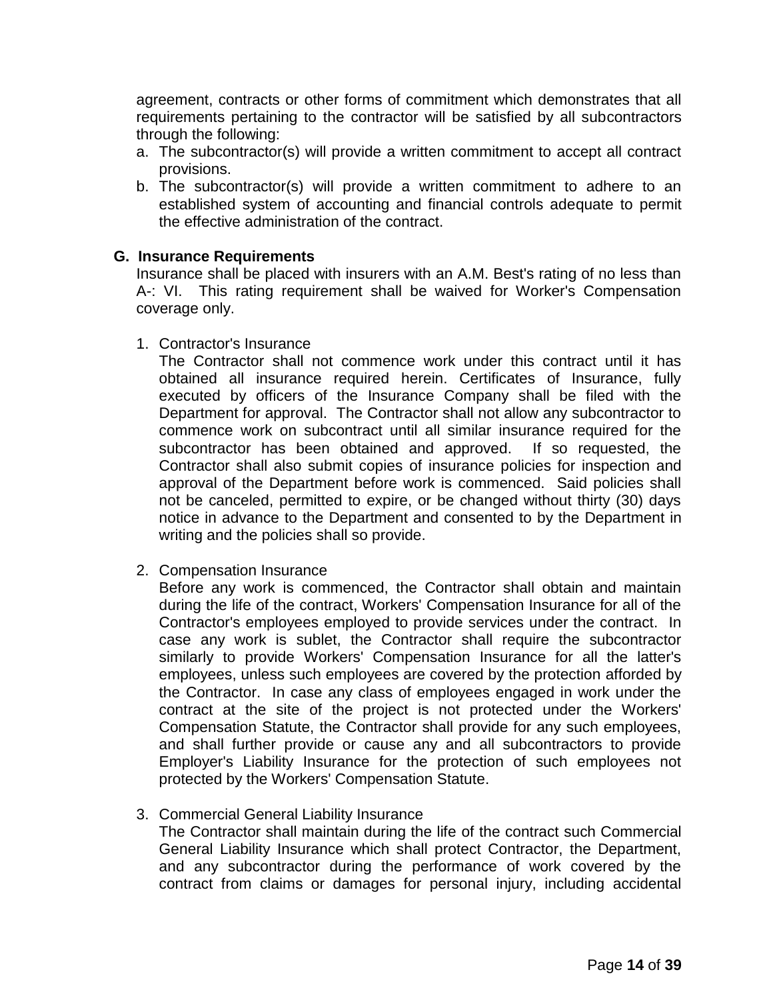agreement, contracts or other forms of commitment which demonstrates that all requirements pertaining to the contractor will be satisfied by all subcontractors through the following:

- a. The subcontractor(s) will provide a written commitment to accept all contract provisions.
- b. The subcontractor(s) will provide a written commitment to adhere to an established system of accounting and financial controls adequate to permit the effective administration of the contract.

## **G. Insurance Requirements**

Insurance shall be placed with insurers with an A.M. Best's rating of no less than A-: VI. This rating requirement shall be waived for Worker's Compensation coverage only.

1. Contractor's Insurance

The Contractor shall not commence work under this contract until it has obtained all insurance required herein. Certificates of Insurance, fully executed by officers of the Insurance Company shall be filed with the Department for approval. The Contractor shall not allow any subcontractor to commence work on subcontract until all similar insurance required for the subcontractor has been obtained and approved. If so requested, the Contractor shall also submit copies of insurance policies for inspection and approval of the Department before work is commenced. Said policies shall not be canceled, permitted to expire, or be changed without thirty (30) days notice in advance to the Department and consented to by the Department in writing and the policies shall so provide.

2. Compensation Insurance

Before any work is commenced, the Contractor shall obtain and maintain during the life of the contract, Workers' Compensation Insurance for all of the Contractor's employees employed to provide services under the contract. In case any work is sublet, the Contractor shall require the subcontractor similarly to provide Workers' Compensation Insurance for all the latter's employees, unless such employees are covered by the protection afforded by the Contractor. In case any class of employees engaged in work under the contract at the site of the project is not protected under the Workers' Compensation Statute, the Contractor shall provide for any such employees, and shall further provide or cause any and all subcontractors to provide Employer's Liability Insurance for the protection of such employees not protected by the Workers' Compensation Statute.

3. Commercial General Liability Insurance

The Contractor shall maintain during the life of the contract such Commercial General Liability Insurance which shall protect Contractor, the Department, and any subcontractor during the performance of work covered by the contract from claims or damages for personal injury, including accidental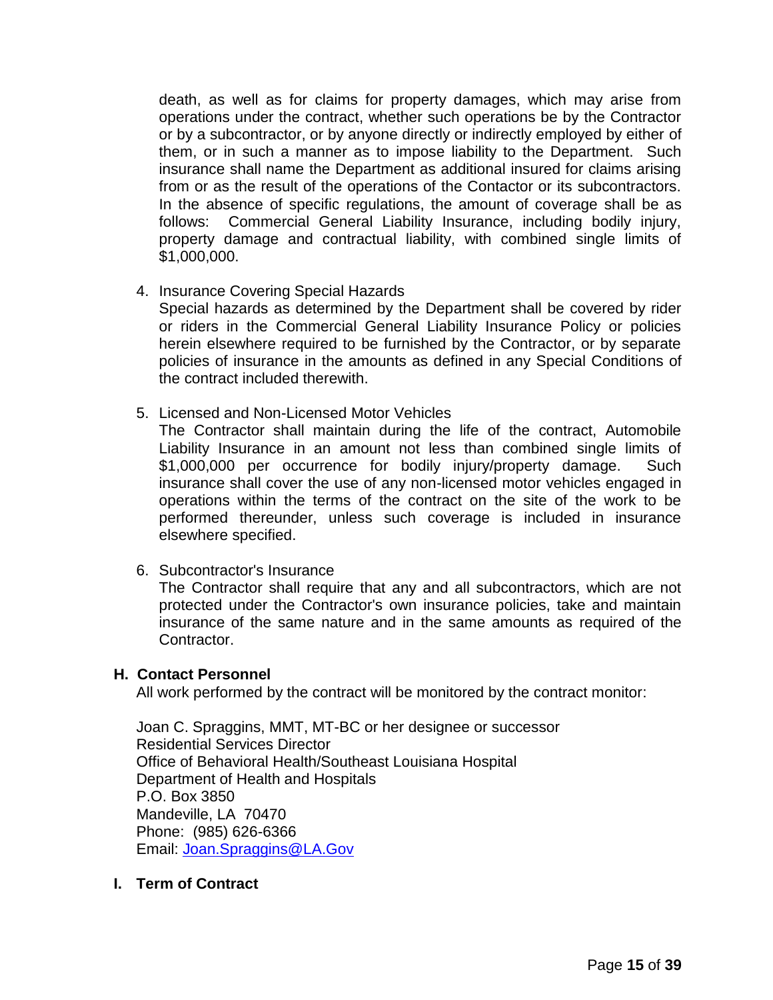death, as well as for claims for property damages, which may arise from operations under the contract, whether such operations be by the Contractor or by a subcontractor, or by anyone directly or indirectly employed by either of them, or in such a manner as to impose liability to the Department. Such insurance shall name the Department as additional insured for claims arising from or as the result of the operations of the Contactor or its subcontractors. In the absence of specific regulations, the amount of coverage shall be as follows: Commercial General Liability Insurance, including bodily injury, property damage and contractual liability, with combined single limits of \$1,000,000.

4. Insurance Covering Special Hazards

Special hazards as determined by the Department shall be covered by rider or riders in the Commercial General Liability Insurance Policy or policies herein elsewhere required to be furnished by the Contractor, or by separate policies of insurance in the amounts as defined in any Special Conditions of the contract included therewith.

5. Licensed and Non-Licensed Motor Vehicles

The Contractor shall maintain during the life of the contract, Automobile Liability Insurance in an amount not less than combined single limits of \$1,000,000 per occurrence for bodily injury/property damage. Such insurance shall cover the use of any non-licensed motor vehicles engaged in operations within the terms of the contract on the site of the work to be performed thereunder, unless such coverage is included in insurance elsewhere specified.

6. Subcontractor's Insurance

The Contractor shall require that any and all subcontractors, which are not protected under the Contractor's own insurance policies, take and maintain insurance of the same nature and in the same amounts as required of the Contractor.

## **H. Contact Personnel**

All work performed by the contract will be monitored by the contract monitor:

Joan C. Spraggins, MMT, MT-BC or her designee or successor Residential Services Director Office of Behavioral Health/Southeast Louisiana Hospital Department of Health and Hospitals P.O. Box 3850 Mandeville, LA 70470 Phone: (985) 626-6366 Email: [Joan.Spraggins@LA.Gov](mailto:Joan.Spraggins@LA.Gov)

**I. Term of Contract**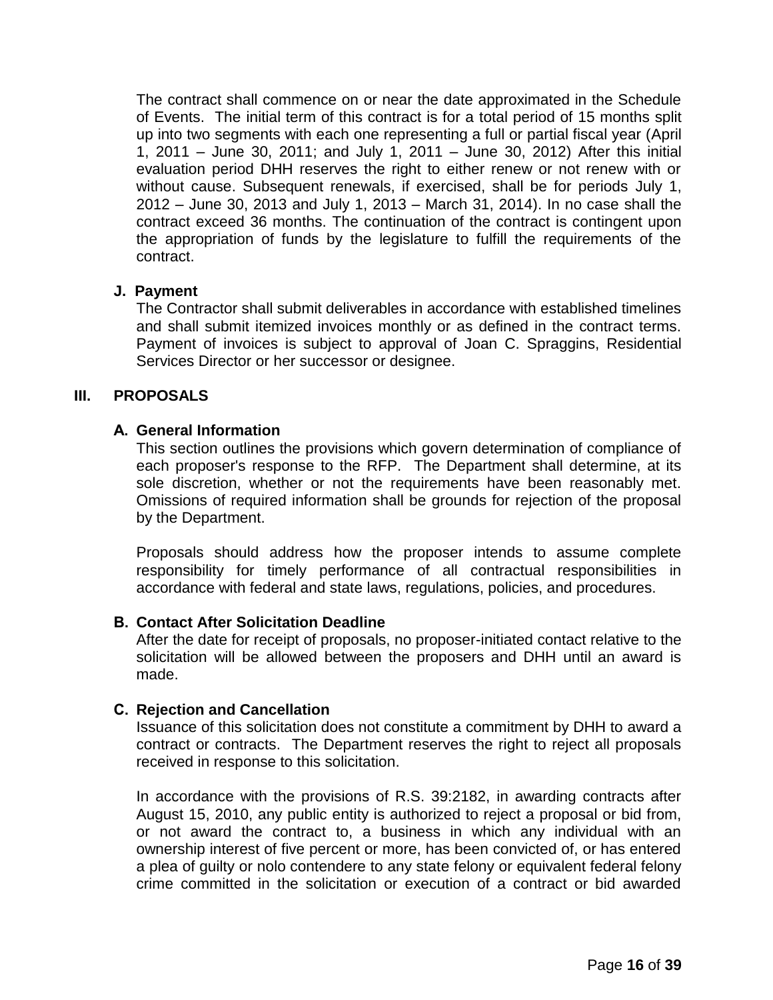The contract shall commence on or near the date approximated in the Schedule of Events. The initial term of this contract is for a total period of 15 months split up into two segments with each one representing a full or partial fiscal year (April 1, 2011 – June 30, 2011; and July 1, 2011 – June 30, 2012) After this initial evaluation period DHH reserves the right to either renew or not renew with or without cause. Subsequent renewals, if exercised, shall be for periods July 1, 2012 – June 30, 2013 and July 1, 2013 – March 31, 2014). In no case shall the contract exceed 36 months. The continuation of the contract is contingent upon the appropriation of funds by the legislature to fulfill the requirements of the contract.

## **J. Payment**

The Contractor shall submit deliverables in accordance with established timelines and shall submit itemized invoices monthly or as defined in the contract terms. Payment of invoices is subject to approval of Joan C. Spraggins, Residential Services Director or her successor or designee.

## **III. PROPOSALS**

## **A. General Information**

This section outlines the provisions which govern determination of compliance of each proposer's response to the RFP. The Department shall determine, at its sole discretion, whether or not the requirements have been reasonably met. Omissions of required information shall be grounds for rejection of the proposal by the Department.

Proposals should address how the proposer intends to assume complete responsibility for timely performance of all contractual responsibilities in accordance with federal and state laws, regulations, policies, and procedures.

## **B. Contact After Solicitation Deadline**

After the date for receipt of proposals, no proposer-initiated contact relative to the solicitation will be allowed between the proposers and DHH until an award is made.

## **C. Rejection and Cancellation**

Issuance of this solicitation does not constitute a commitment by DHH to award a contract or contracts. The Department reserves the right to reject all proposals received in response to this solicitation.

In accordance with the provisions of R.S. 39:2182, in awarding contracts after August 15, 2010, any public entity is authorized to reject a proposal or bid from, or not award the contract to, a business in which any individual with an ownership interest of five percent or more, has been convicted of, or has entered a plea of guilty or nolo contendere to any state felony or equivalent federal felony crime committed in the solicitation or execution of a contract or bid awarded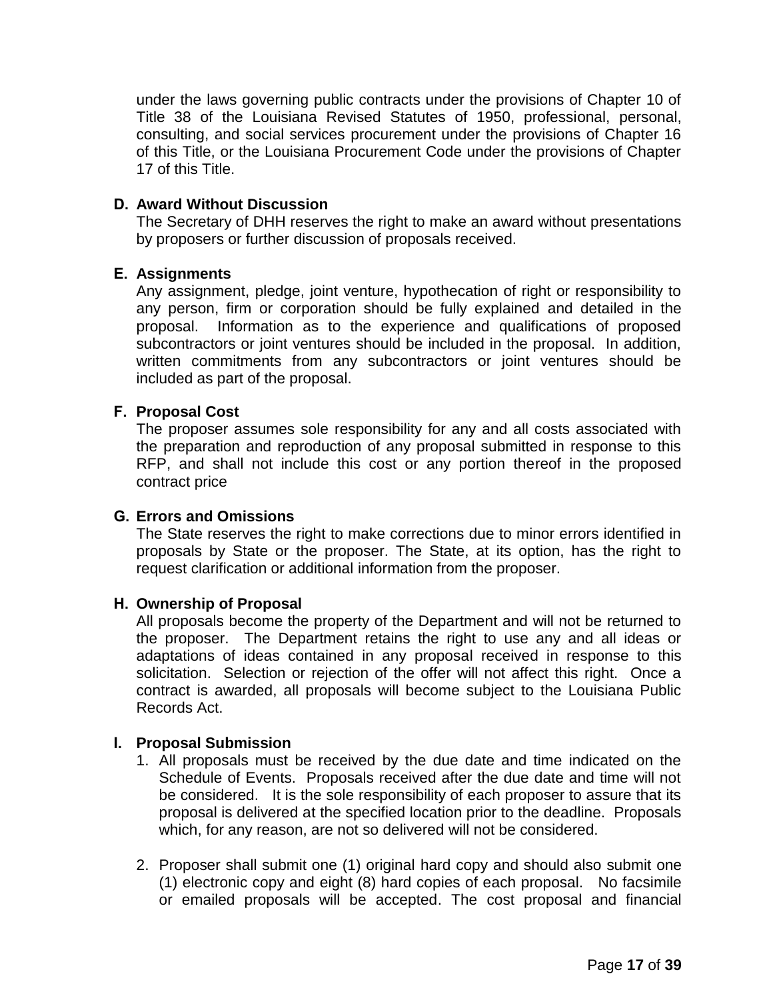under the laws governing public contracts under the provisions of Chapter 10 of Title 38 of the Louisiana Revised Statutes of 1950, professional, personal, consulting, and social services procurement under the provisions of Chapter 16 of this Title, or the Louisiana Procurement Code under the provisions of Chapter 17 of this Title.

### **D. Award Without Discussion**

The Secretary of DHH reserves the right to make an award without presentations by proposers or further discussion of proposals received.

### **E. Assignments**

Any assignment, pledge, joint venture, hypothecation of right or responsibility to any person, firm or corporation should be fully explained and detailed in the proposal. Information as to the experience and qualifications of proposed subcontractors or joint ventures should be included in the proposal. In addition, written commitments from any subcontractors or joint ventures should be included as part of the proposal.

### **F. Proposal Cost**

The proposer assumes sole responsibility for any and all costs associated with the preparation and reproduction of any proposal submitted in response to this RFP, and shall not include this cost or any portion thereof in the proposed contract price

### **G. Errors and Omissions**

The State reserves the right to make corrections due to minor errors identified in proposals by State or the proposer. The State, at its option, has the right to request clarification or additional information from the proposer.

### **H. Ownership of Proposal**

All proposals become the property of the Department and will not be returned to the proposer. The Department retains the right to use any and all ideas or adaptations of ideas contained in any proposal received in response to this solicitation. Selection or rejection of the offer will not affect this right. Once a contract is awarded, all proposals will become subject to the Louisiana Public Records Act.

### **I. Proposal Submission**

- 1. All proposals must be received by the due date and time indicated on the Schedule of Events. Proposals received after the due date and time will not be considered. It is the sole responsibility of each proposer to assure that its proposal is delivered at the specified location prior to the deadline. Proposals which, for any reason, are not so delivered will not be considered.
- 2. Proposer shall submit one (1) original hard copy and should also submit one (1) electronic copy and eight (8) hard copies of each proposal. No facsimile or emailed proposals will be accepted. The cost proposal and financial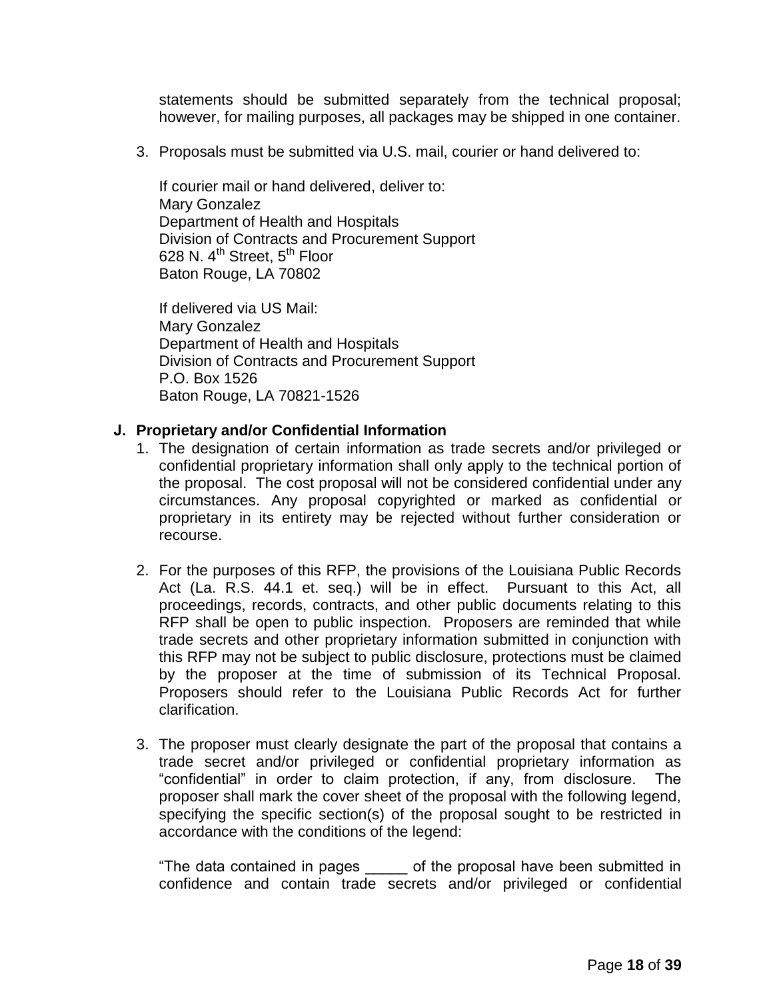statements should be submitted separately from the technical proposal; however, for mailing purposes, all packages may be shipped in one container.

3. Proposals must be submitted via U.S. mail, courier or hand delivered to:

If courier mail or hand delivered, deliver to: Mary Gonzalez Department of Health and Hospitals Division of Contracts and Procurement Support 628 N.  $4^{\text{th}}$  Street,  $5^{\text{th}}$  Floor Baton Rouge, LA 70802

If delivered via US Mail: Mary Gonzalez Department of Health and Hospitals Division of Contracts and Procurement Support P.O. Box 1526 Baton Rouge, LA 70821-1526

### **J. Proprietary and/or Confidential Information**

- 1. The designation of certain information as trade secrets and/or privileged or confidential proprietary information shall only apply to the technical portion of the proposal. The cost proposal will not be considered confidential under any circumstances. Any proposal copyrighted or marked as confidential or proprietary in its entirety may be rejected without further consideration or recourse.
- 2. For the purposes of this RFP, the provisions of the Louisiana Public Records Act (La. R.S. 44.1 et. seq.) will be in effect. Pursuant to this Act, all proceedings, records, contracts, and other public documents relating to this RFP shall be open to public inspection. Proposers are reminded that while trade secrets and other proprietary information submitted in conjunction with this RFP may not be subject to public disclosure, protections must be claimed by the proposer at the time of submission of its Technical Proposal. Proposers should refer to the Louisiana Public Records Act for further clarification.
- 3. The proposer must clearly designate the part of the proposal that contains a trade secret and/or privileged or confidential proprietary information as "confidential" in order to claim protection, if any, from disclosure. The proposer shall mark the cover sheet of the proposal with the following legend, specifying the specific section(s) of the proposal sought to be restricted in accordance with the conditions of the legend:

"The data contained in pages \_\_\_\_\_ of the proposal have been submitted in confidence and contain trade secrets and/or privileged or confidential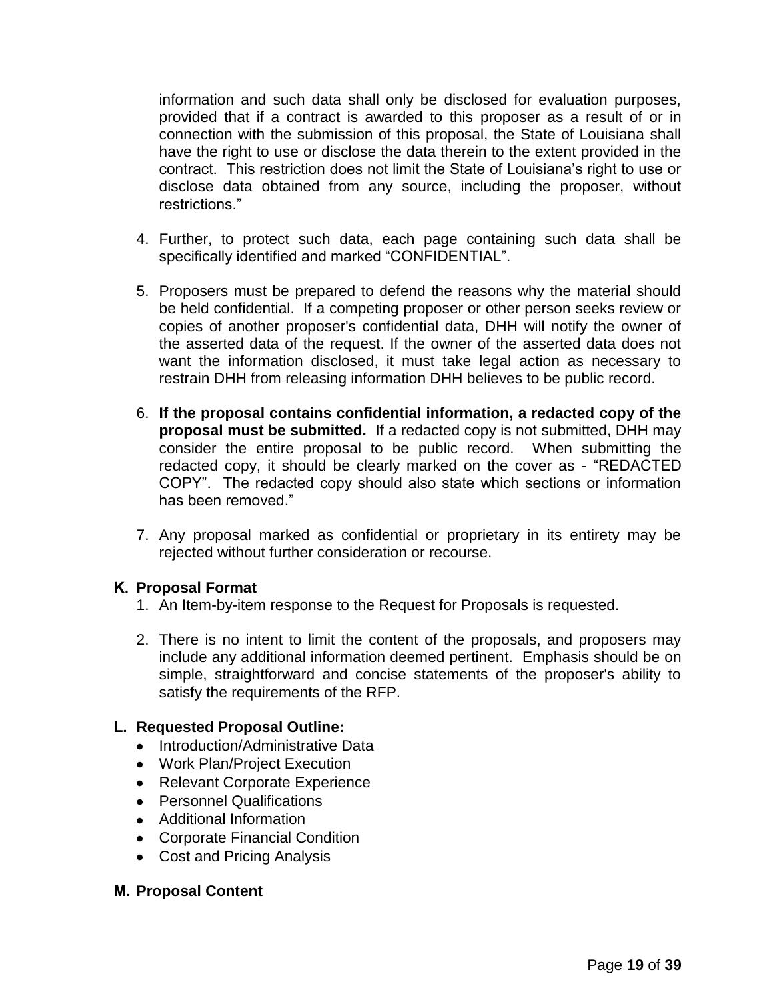information and such data shall only be disclosed for evaluation purposes, provided that if a contract is awarded to this proposer as a result of or in connection with the submission of this proposal, the State of Louisiana shall have the right to use or disclose the data therein to the extent provided in the contract. This restriction does not limit the State of Louisiana's right to use or disclose data obtained from any source, including the proposer, without restrictions."

- 4. Further, to protect such data, each page containing such data shall be specifically identified and marked "CONFIDENTIAL".
- 5. Proposers must be prepared to defend the reasons why the material should be held confidential. If a competing proposer or other person seeks review or copies of another proposer's confidential data, DHH will notify the owner of the asserted data of the request. If the owner of the asserted data does not want the information disclosed, it must take legal action as necessary to restrain DHH from releasing information DHH believes to be public record.
- 6. **If the proposal contains confidential information, a redacted copy of the proposal must be submitted.** If a redacted copy is not submitted, DHH may consider the entire proposal to be public record. When submitting the redacted copy, it should be clearly marked on the cover as - "REDACTED COPY". The redacted copy should also state which sections or information has been removed."
- 7. Any proposal marked as confidential or proprietary in its entirety may be rejected without further consideration or recourse.

## **K. Proposal Format**

- 1. An Item-by-item response to the Request for Proposals is requested.
- 2. There is no intent to limit the content of the proposals, and proposers may include any additional information deemed pertinent. Emphasis should be on simple, straightforward and concise statements of the proposer's ability to satisfy the requirements of the RFP.

## **L. Requested Proposal Outline:**

- Introduction/Administrative Data
- Work Plan/Project Execution
- Relevant Corporate Experience
- Personnel Qualifications
- Additional Information
- Corporate Financial Condition
- Cost and Pricing Analysis

### **M. Proposal Content**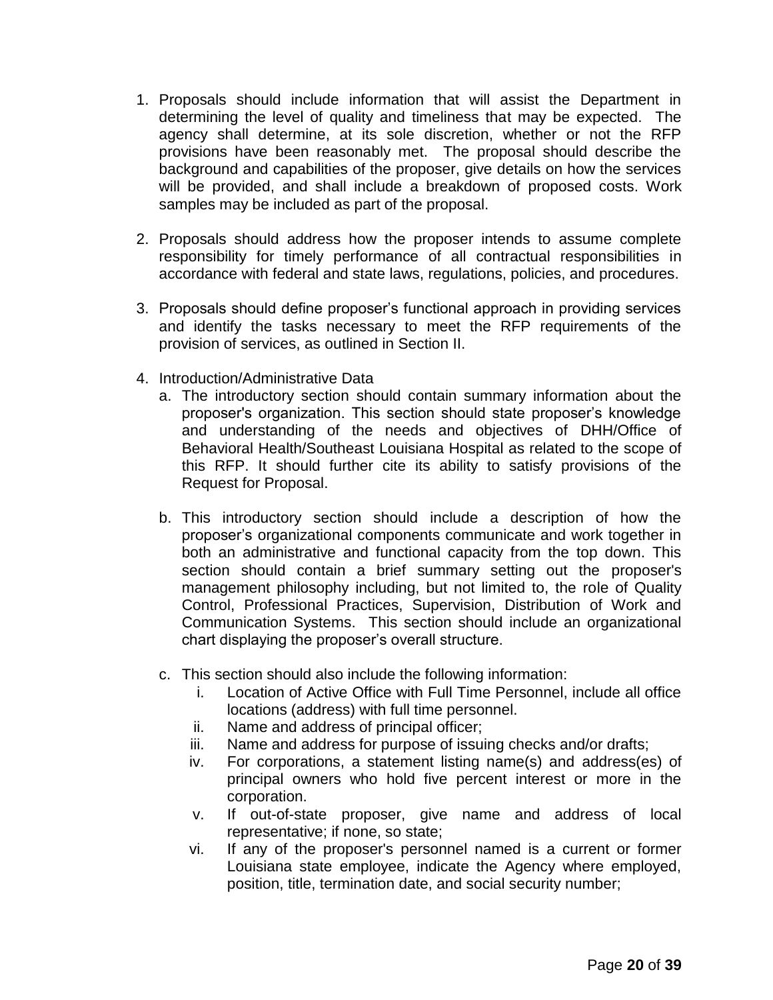- 1. Proposals should include information that will assist the Department in determining the level of quality and timeliness that may be expected. The agency shall determine, at its sole discretion, whether or not the RFP provisions have been reasonably met. The proposal should describe the background and capabilities of the proposer, give details on how the services will be provided, and shall include a breakdown of proposed costs. Work samples may be included as part of the proposal.
- 2. Proposals should address how the proposer intends to assume complete responsibility for timely performance of all contractual responsibilities in accordance with federal and state laws, regulations, policies, and procedures.
- 3. Proposals should define proposer's functional approach in providing services and identify the tasks necessary to meet the RFP requirements of the provision of services, as outlined in Section II.
- 4. Introduction/Administrative Data
	- a. The introductory section should contain summary information about the proposer's organization. This section should state proposer's knowledge and understanding of the needs and objectives of DHH/Office of Behavioral Health/Southeast Louisiana Hospital as related to the scope of this RFP. It should further cite its ability to satisfy provisions of the Request for Proposal.
	- b. This introductory section should include a description of how the proposer's organizational components communicate and work together in both an administrative and functional capacity from the top down. This section should contain a brief summary setting out the proposer's management philosophy including, but not limited to, the role of Quality Control, Professional Practices, Supervision, Distribution of Work and Communication Systems. This section should include an organizational chart displaying the proposer's overall structure.
	- c. This section should also include the following information:
		- i. Location of Active Office with Full Time Personnel, include all office locations (address) with full time personnel.
		- ii. Name and address of principal officer;
		- iii. Name and address for purpose of issuing checks and/or drafts;
		- iv. For corporations, a statement listing name(s) and address(es) of principal owners who hold five percent interest or more in the corporation.
		- v. If out-of-state proposer, give name and address of local representative; if none, so state;
		- vi. If any of the proposer's personnel named is a current or former Louisiana state employee, indicate the Agency where employed, position, title, termination date, and social security number;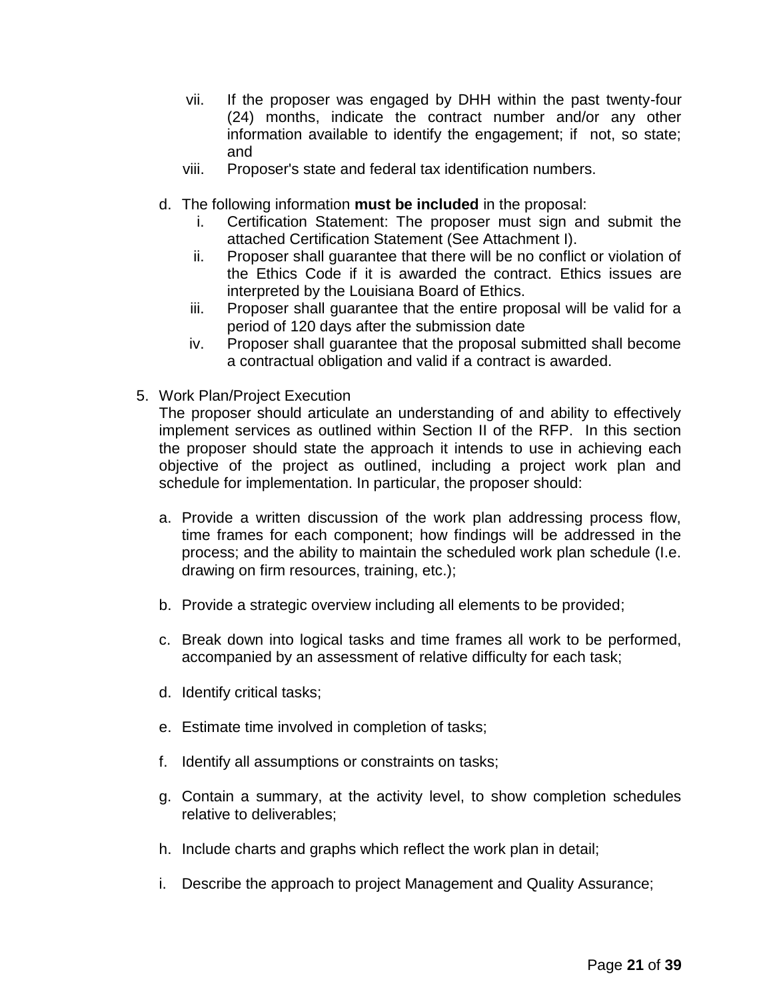- vii. If the proposer was engaged by DHH within the past twenty-four (24) months, indicate the contract number and/or any other information available to identify the engagement; if not, so state; and
- viii. Proposer's state and federal tax identification numbers.
- d. The following information **must be included** in the proposal:
	- i. Certification Statement: The proposer must sign and submit the attached Certification Statement (See Attachment I).
	- ii. Proposer shall guarantee that there will be no conflict or violation of the Ethics Code if it is awarded the contract. Ethics issues are interpreted by the Louisiana Board of Ethics.
	- iii. Proposer shall guarantee that the entire proposal will be valid for a period of 120 days after the submission date
	- iv. Proposer shall guarantee that the proposal submitted shall become a contractual obligation and valid if a contract is awarded.
- 5. Work Plan/Project Execution

The proposer should articulate an understanding of and ability to effectively implement services as outlined within Section II of the RFP. In this section the proposer should state the approach it intends to use in achieving each objective of the project as outlined, including a project work plan and schedule for implementation. In particular, the proposer should:

- a. Provide a written discussion of the work plan addressing process flow, time frames for each component; how findings will be addressed in the process; and the ability to maintain the scheduled work plan schedule (I.e. drawing on firm resources, training, etc.);
- b. Provide a strategic overview including all elements to be provided;
- c. Break down into logical tasks and time frames all work to be performed, accompanied by an assessment of relative difficulty for each task;
- d. Identify critical tasks;
- e. Estimate time involved in completion of tasks;
- f. Identify all assumptions or constraints on tasks;
- g. Contain a summary, at the activity level, to show completion schedules relative to deliverables;
- h. Include charts and graphs which reflect the work plan in detail;
- i. Describe the approach to project Management and Quality Assurance;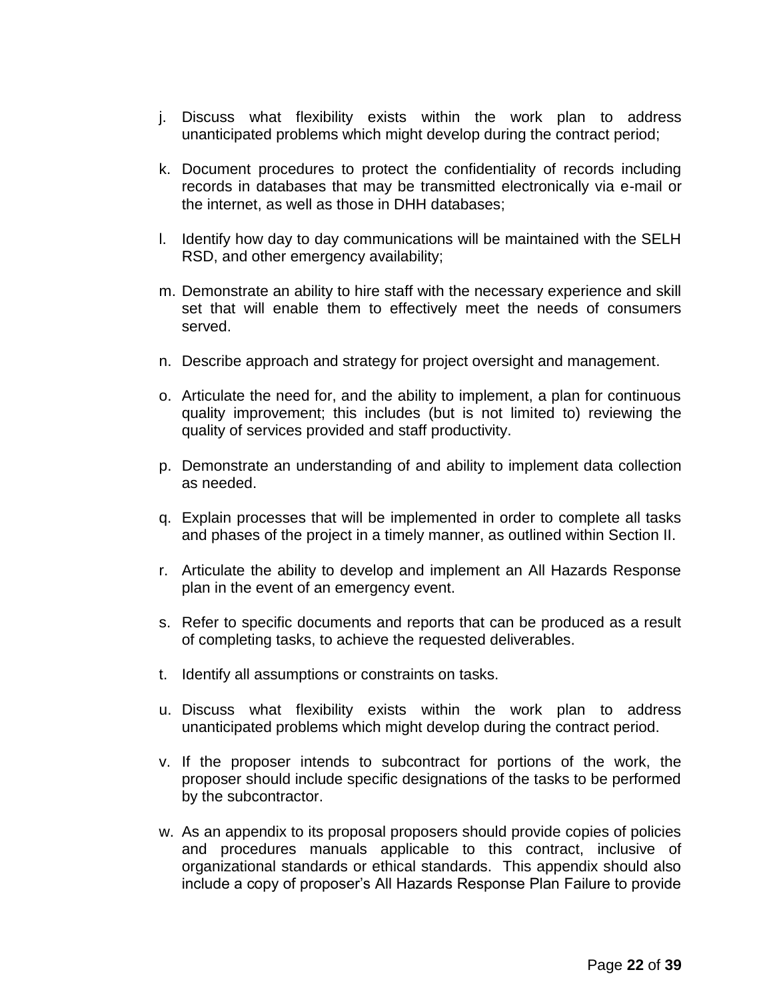- j. Discuss what flexibility exists within the work plan to address unanticipated problems which might develop during the contract period;
- k. Document procedures to protect the confidentiality of records including records in databases that may be transmitted electronically via e-mail or the internet, as well as those in DHH databases;
- l. Identify how day to day communications will be maintained with the SELH RSD, and other emergency availability;
- m. Demonstrate an ability to hire staff with the necessary experience and skill set that will enable them to effectively meet the needs of consumers served.
- n. Describe approach and strategy for project oversight and management.
- o. Articulate the need for, and the ability to implement, a plan for continuous quality improvement; this includes (but is not limited to) reviewing the quality of services provided and staff productivity.
- p. Demonstrate an understanding of and ability to implement data collection as needed.
- q. Explain processes that will be implemented in order to complete all tasks and phases of the project in a timely manner, as outlined within Section II.
- r. Articulate the ability to develop and implement an All Hazards Response plan in the event of an emergency event.
- s. Refer to specific documents and reports that can be produced as a result of completing tasks, to achieve the requested deliverables.
- t. Identify all assumptions or constraints on tasks.
- u. Discuss what flexibility exists within the work plan to address unanticipated problems which might develop during the contract period.
- v. If the proposer intends to subcontract for portions of the work, the proposer should include specific designations of the tasks to be performed by the subcontractor.
- w. As an appendix to its proposal proposers should provide copies of policies and procedures manuals applicable to this contract, inclusive of organizational standards or ethical standards. This appendix should also include a copy of proposer's All Hazards Response Plan Failure to provide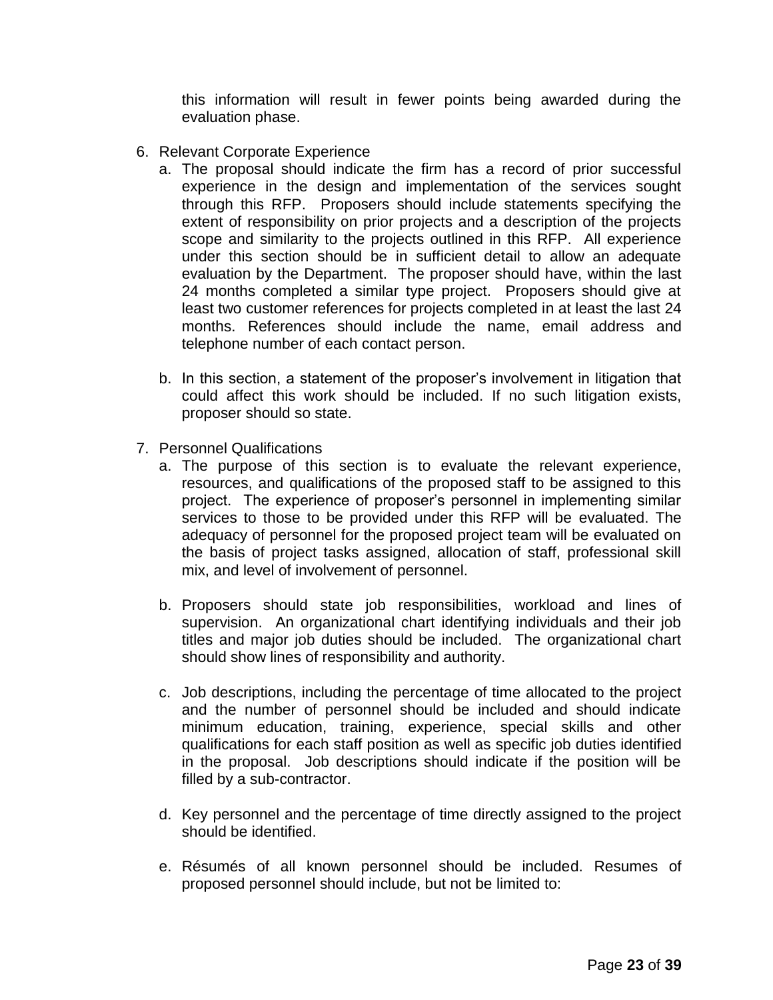this information will result in fewer points being awarded during the evaluation phase.

- 6. Relevant Corporate Experience
	- a. The proposal should indicate the firm has a record of prior successful experience in the design and implementation of the services sought through this RFP. Proposers should include statements specifying the extent of responsibility on prior projects and a description of the projects scope and similarity to the projects outlined in this RFP. All experience under this section should be in sufficient detail to allow an adequate evaluation by the Department. The proposer should have, within the last 24 months completed a similar type project. Proposers should give at least two customer references for projects completed in at least the last 24 months. References should include the name, email address and telephone number of each contact person.
	- b. In this section, a statement of the proposer's involvement in litigation that could affect this work should be included. If no such litigation exists, proposer should so state.
- 7. Personnel Qualifications
	- a. The purpose of this section is to evaluate the relevant experience, resources, and qualifications of the proposed staff to be assigned to this project. The experience of proposer's personnel in implementing similar services to those to be provided under this RFP will be evaluated. The adequacy of personnel for the proposed project team will be evaluated on the basis of project tasks assigned, allocation of staff, professional skill mix, and level of involvement of personnel.
	- b. Proposers should state job responsibilities, workload and lines of supervision. An organizational chart identifying individuals and their job titles and major job duties should be included. The organizational chart should show lines of responsibility and authority.
	- c. Job descriptions, including the percentage of time allocated to the project and the number of personnel should be included and should indicate minimum education, training, experience, special skills and other qualifications for each staff position as well as specific job duties identified in the proposal. Job descriptions should indicate if the position will be filled by a sub-contractor.
	- d. Key personnel and the percentage of time directly assigned to the project should be identified.
	- e. Résumés of all known personnel should be included. Resumes of proposed personnel should include, but not be limited to: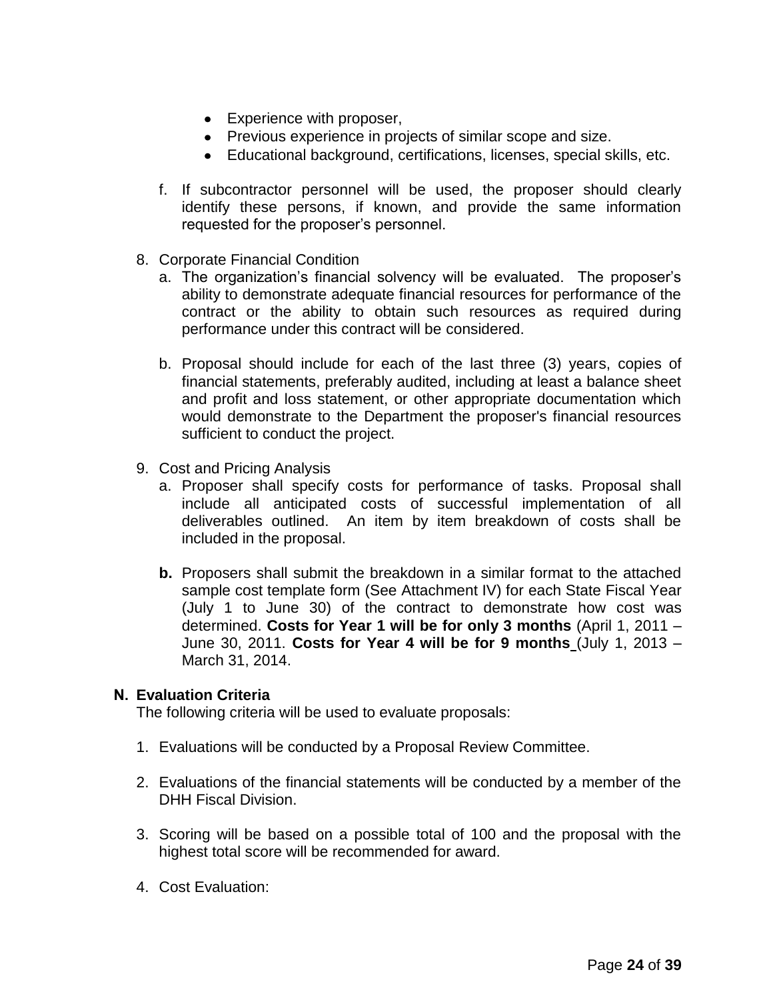- Experience with proposer,
- Previous experience in projects of similar scope and size.
- Educational background, certifications, licenses, special skills, etc.
- f. If subcontractor personnel will be used, the proposer should clearly identify these persons, if known, and provide the same information requested for the proposer's personnel.
- 8. Corporate Financial Condition
	- a. The organization's financial solvency will be evaluated. The proposer's ability to demonstrate adequate financial resources for performance of the contract or the ability to obtain such resources as required during performance under this contract will be considered.
	- b. Proposal should include for each of the last three (3) years, copies of financial statements, preferably audited, including at least a balance sheet and profit and loss statement, or other appropriate documentation which would demonstrate to the Department the proposer's financial resources sufficient to conduct the project.
- 9. Cost and Pricing Analysis
	- a. Proposer shall specify costs for performance of tasks. Proposal shall include all anticipated costs of successful implementation of all deliverables outlined. An item by item breakdown of costs shall be included in the proposal.
	- **b.** Proposers shall submit the breakdown in a similar format to the attached sample cost template form (See Attachment IV) for each State Fiscal Year (July 1 to June 30) of the contract to demonstrate how cost was determined. **Costs for Year 1 will be for only 3 months** (April 1, 2011 – June 30, 2011. **Costs for Year 4 will be for 9 months** (July 1, 2013 – March 31, 2014.

### **N. Evaluation Criteria**

The following criteria will be used to evaluate proposals:

- 1. Evaluations will be conducted by a Proposal Review Committee.
- 2. Evaluations of the financial statements will be conducted by a member of the DHH Fiscal Division.
- 3. Scoring will be based on a possible total of 100 and the proposal with the highest total score will be recommended for award.
- 4. Cost Evaluation: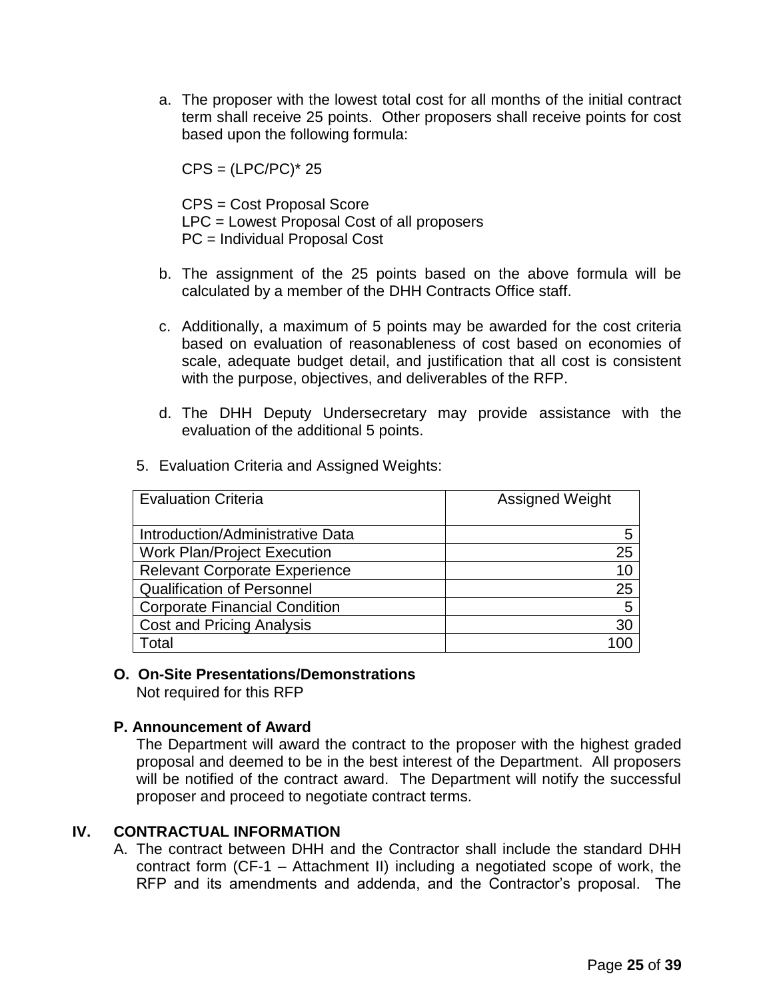a. The proposer with the lowest total cost for all months of the initial contract term shall receive 25 points. Other proposers shall receive points for cost based upon the following formula:

 $CPS = (LPC/PC)^* 25$ 

CPS = Cost Proposal Score LPC = Lowest Proposal Cost of all proposers PC = Individual Proposal Cost

- b. The assignment of the 25 points based on the above formula will be calculated by a member of the DHH Contracts Office staff.
- c. Additionally, a maximum of 5 points may be awarded for the cost criteria based on evaluation of reasonableness of cost based on economies of scale, adequate budget detail, and justification that all cost is consistent with the purpose, objectives, and deliverables of the RFP.
- d. The DHH Deputy Undersecretary may provide assistance with the evaluation of the additional 5 points.

| <b>Evaluation Criteria</b>           | <b>Assigned Weight</b> |  |  |  |
|--------------------------------------|------------------------|--|--|--|
|                                      |                        |  |  |  |
| Introduction/Administrative Data     | 5                      |  |  |  |
| <b>Work Plan/Project Execution</b>   | 25                     |  |  |  |
| <b>Relevant Corporate Experience</b> | 10                     |  |  |  |
| <b>Qualification of Personnel</b>    | 25                     |  |  |  |
| <b>Corporate Financial Condition</b> | 5                      |  |  |  |
| <b>Cost and Pricing Analysis</b>     | 30                     |  |  |  |
| Гоtal                                | 00                     |  |  |  |

5. Evaluation Criteria and Assigned Weights:

### **O. On-Site Presentations/Demonstrations**

Not required for this RFP

## **P. Announcement of Award**

The Department will award the contract to the proposer with the highest graded proposal and deemed to be in the best interest of the Department. All proposers will be notified of the contract award. The Department will notify the successful proposer and proceed to negotiate contract terms.

## **IV. CONTRACTUAL INFORMATION**

A. The contract between DHH and the Contractor shall include the standard DHH contract form (CF-1 – Attachment II) including a negotiated scope of work, the RFP and its amendments and addenda, and the Contractor's proposal. The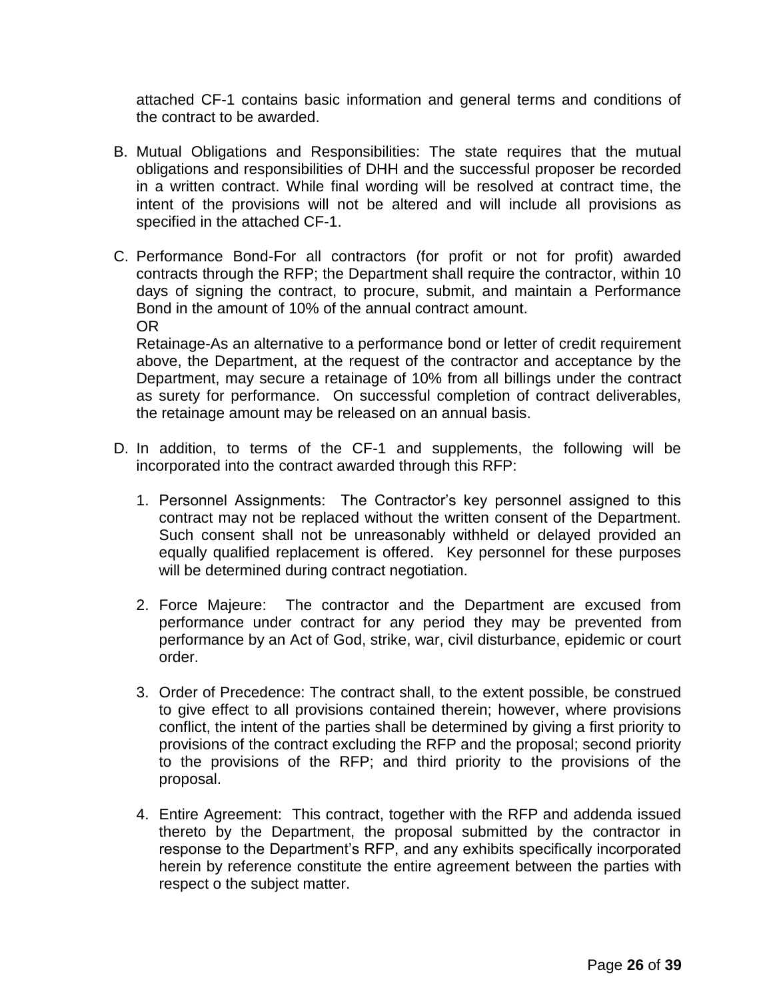attached CF-1 contains basic information and general terms and conditions of the contract to be awarded.

- B. Mutual Obligations and Responsibilities: The state requires that the mutual obligations and responsibilities of DHH and the successful proposer be recorded in a written contract. While final wording will be resolved at contract time, the intent of the provisions will not be altered and will include all provisions as specified in the attached CF-1.
- C. Performance Bond-For all contractors (for profit or not for profit) awarded contracts through the RFP; the Department shall require the contractor, within 10 days of signing the contract, to procure, submit, and maintain a Performance Bond in the amount of 10% of the annual contract amount. OR

Retainage-As an alternative to a performance bond or letter of credit requirement above, the Department, at the request of the contractor and acceptance by the Department, may secure a retainage of 10% from all billings under the contract as surety for performance. On successful completion of contract deliverables, the retainage amount may be released on an annual basis.

- D. In addition, to terms of the CF-1 and supplements, the following will be incorporated into the contract awarded through this RFP:
	- 1. Personnel Assignments: The Contractor's key personnel assigned to this contract may not be replaced without the written consent of the Department. Such consent shall not be unreasonably withheld or delayed provided an equally qualified replacement is offered. Key personnel for these purposes will be determined during contract negotiation.
	- 2. Force Majeure: The contractor and the Department are excused from performance under contract for any period they may be prevented from performance by an Act of God, strike, war, civil disturbance, epidemic or court order.
	- 3. Order of Precedence: The contract shall, to the extent possible, be construed to give effect to all provisions contained therein; however, where provisions conflict, the intent of the parties shall be determined by giving a first priority to provisions of the contract excluding the RFP and the proposal; second priority to the provisions of the RFP; and third priority to the provisions of the proposal.
	- 4. Entire Agreement: This contract, together with the RFP and addenda issued thereto by the Department, the proposal submitted by the contractor in response to the Department's RFP, and any exhibits specifically incorporated herein by reference constitute the entire agreement between the parties with respect o the subject matter.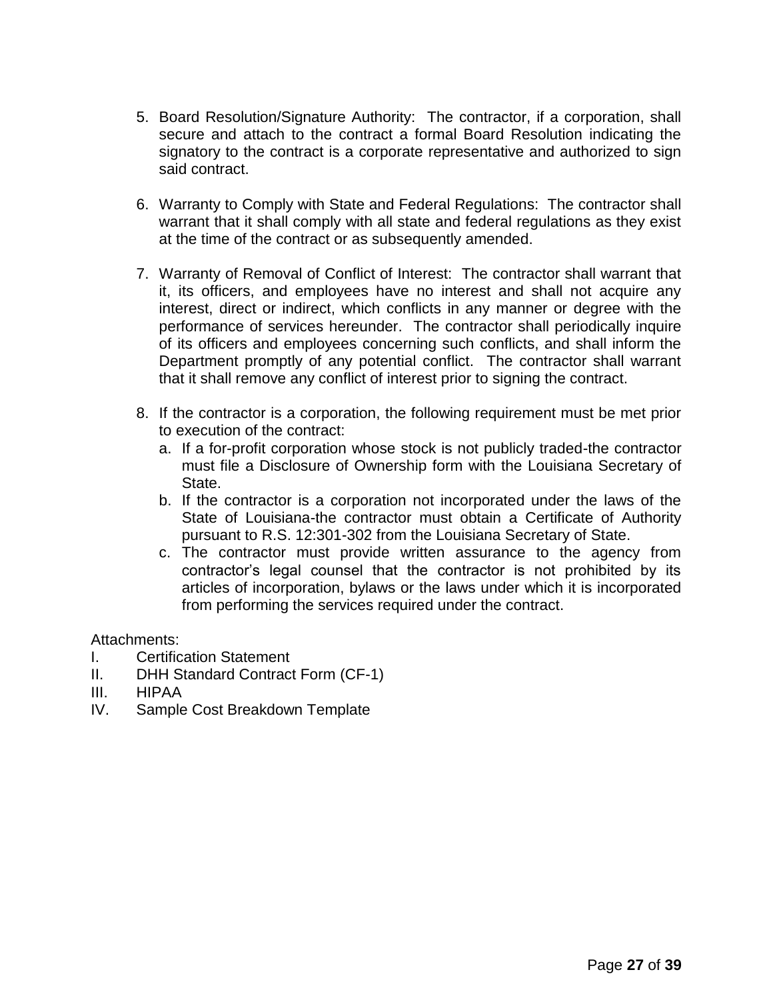- 5. Board Resolution/Signature Authority: The contractor, if a corporation, shall secure and attach to the contract a formal Board Resolution indicating the signatory to the contract is a corporate representative and authorized to sign said contract.
- 6. Warranty to Comply with State and Federal Regulations: The contractor shall warrant that it shall comply with all state and federal regulations as they exist at the time of the contract or as subsequently amended.
- 7. Warranty of Removal of Conflict of Interest: The contractor shall warrant that it, its officers, and employees have no interest and shall not acquire any interest, direct or indirect, which conflicts in any manner or degree with the performance of services hereunder. The contractor shall periodically inquire of its officers and employees concerning such conflicts, and shall inform the Department promptly of any potential conflict. The contractor shall warrant that it shall remove any conflict of interest prior to signing the contract.
- 8. If the contractor is a corporation, the following requirement must be met prior to execution of the contract:
	- a. If a for-profit corporation whose stock is not publicly traded-the contractor must file a Disclosure of Ownership form with the Louisiana Secretary of State.
	- b. If the contractor is a corporation not incorporated under the laws of the State of Louisiana-the contractor must obtain a Certificate of Authority pursuant to R.S. 12:301-302 from the Louisiana Secretary of State.
	- c. The contractor must provide written assurance to the agency from contractor's legal counsel that the contractor is not prohibited by its articles of incorporation, bylaws or the laws under which it is incorporated from performing the services required under the contract.

Attachments:

- I. Certification Statement
- II. DHH Standard Contract Form (CF-1)
- III. HIPAA
- IV. Sample Cost Breakdown Template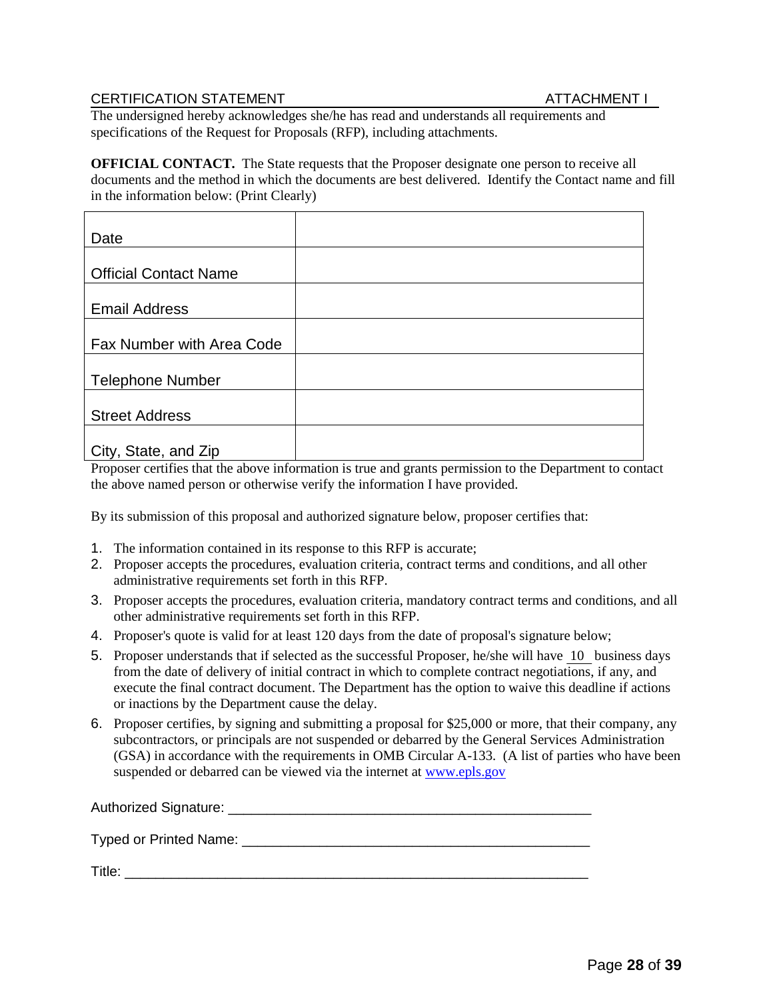### CERTIFICATION STATEMENT **ATTACHMENT I**

The undersigned hereby acknowledges she/he has read and understands all requirements and specifications of the Request for Proposals (RFP), including attachments.

**OFFICIAL CONTACT.** The State requests that the Proposer designate one person to receive all documents and the method in which the documents are best delivered. Identify the Contact name and fill in the information below: (Print Clearly)

| Date                         |  |
|------------------------------|--|
|                              |  |
| <b>Official Contact Name</b> |  |
|                              |  |
| <b>Email Address</b>         |  |
|                              |  |
| Fax Number with Area Code    |  |
|                              |  |
| <b>Telephone Number</b>      |  |
|                              |  |
| <b>Street Address</b>        |  |
|                              |  |
| City, State, and Zip         |  |

Proposer certifies that the above information is true and grants permission to the Department to contact the above named person or otherwise verify the information I have provided.

By its submission of this proposal and authorized signature below, proposer certifies that:

- 1. The information contained in its response to this RFP is accurate;
- 2. Proposer accepts the procedures, evaluation criteria, contract terms and conditions, and all other administrative requirements set forth in this RFP.
- 3. Proposer accepts the procedures, evaluation criteria, mandatory contract terms and conditions, and all other administrative requirements set forth in this RFP.
- 4. Proposer's quote is valid for at least 120 days from the date of proposal's signature below;
- 5. Proposer understands that if selected as the successful Proposer, he/she will have 10 business days from the date of delivery of initial contract in which to complete contract negotiations, if any, and execute the final contract document. The Department has the option to waive this deadline if actions or inactions by the Department cause the delay.
- 6. Proposer certifies, by signing and submitting a proposal for \$25,000 or more, that their company, any subcontractors, or principals are not suspended or debarred by the General Services Administration (GSA) in accordance with the requirements in OMB Circular A-133. (A list of parties who have been suspended or debarred can be viewed via the internet at [www.epls.gov](http://www.epls.gov/)

| Authorized Signature:      |  |
|----------------------------|--|
| Typed or Printed Name: ___ |  |
| Title:                     |  |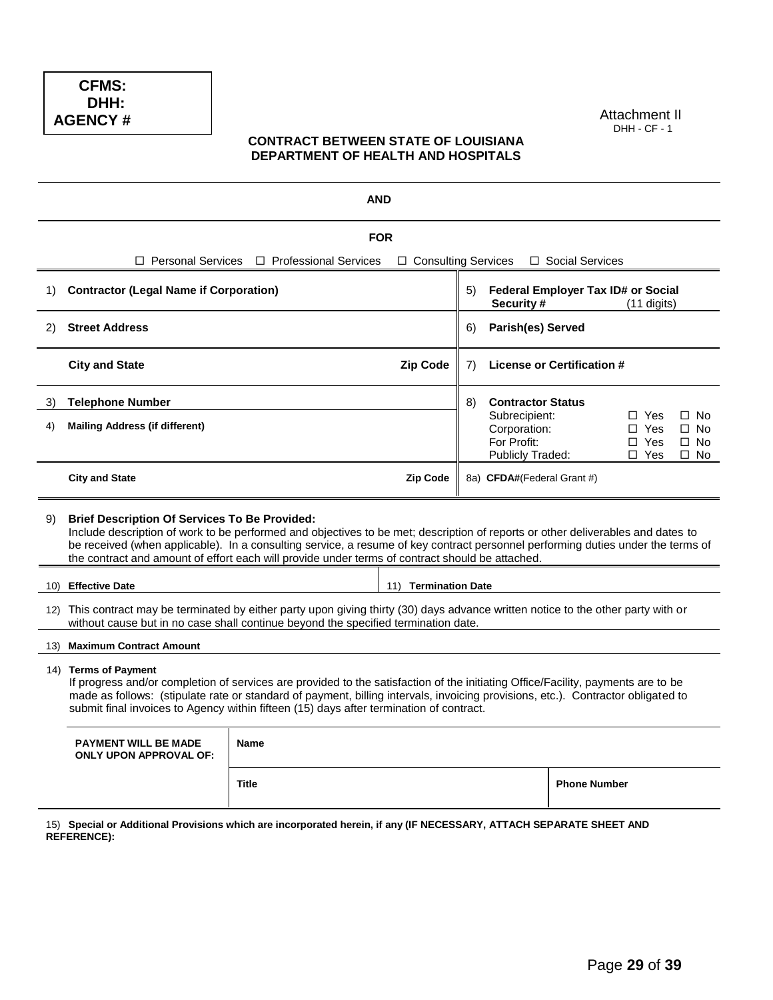DHH: **CFMS: AGENCY #**

Attachment II DHH - CF - 1

#### **CONTRACT BETWEEN STATE OF LOUISIANA DEPARTMENT OF HEALTH AND HOSPITALS**

|          |                                                                                                                                                                                                                                                                                                                                                                                                                               |                         | <b>AND</b>            |    |                                                                                              |                     |                                                      |                                                              |
|----------|-------------------------------------------------------------------------------------------------------------------------------------------------------------------------------------------------------------------------------------------------------------------------------------------------------------------------------------------------------------------------------------------------------------------------------|-------------------------|-----------------------|----|----------------------------------------------------------------------------------------------|---------------------|------------------------------------------------------|--------------------------------------------------------------|
|          |                                                                                                                                                                                                                                                                                                                                                                                                                               |                         | <b>FOR</b>            |    |                                                                                              |                     |                                                      |                                                              |
|          | □ Personal Services                                                                                                                                                                                                                                                                                                                                                                                                           | □ Professional Services | □ Consulting Services |    |                                                                                              | □ Social Services   |                                                      |                                                              |
| 1)       | <b>Contractor (Legal Name if Corporation)</b>                                                                                                                                                                                                                                                                                                                                                                                 |                         |                       | 5) | Federal Employer Tax ID# or Social<br>Security#                                              |                     | $(11$ digits)                                        |                                                              |
| 2)       | <b>Street Address</b>                                                                                                                                                                                                                                                                                                                                                                                                         |                         |                       | 6) | <b>Parish(es) Served</b>                                                                     |                     |                                                      |                                                              |
|          | <b>City and State</b>                                                                                                                                                                                                                                                                                                                                                                                                         |                         | <b>Zip Code</b>       | 7) | <b>License or Certification #</b>                                                            |                     |                                                      |                                                              |
| 3)<br>4) | <b>Telephone Number</b><br><b>Mailing Address (if different)</b>                                                                                                                                                                                                                                                                                                                                                              |                         |                       | 8) | <b>Contractor Status</b><br>Subrecipient:<br>Corporation:<br>For Profit:<br>Publicly Traded: |                     | $\Box$ Yes<br>$\Box$ Yes<br>$\Box$ Yes<br>$\Box$ Yes | $\square$ No<br>$\square$ No<br>$\square$ No<br>$\square$ No |
|          | <b>City and State</b>                                                                                                                                                                                                                                                                                                                                                                                                         |                         | <b>Zip Code</b>       |    | 8a) CFDA#(Federal Grant #)                                                                   |                     |                                                      |                                                              |
| 9)       | <b>Brief Description Of Services To Be Provided:</b><br>Include description of work to be performed and objectives to be met; description of reports or other deliverables and dates to<br>be received (when applicable). In a consulting service, a resume of key contract personnel performing duties under the terms of<br>the contract and amount of effort each will provide under terms of contract should be attached. |                         |                       |    |                                                                                              |                     |                                                      |                                                              |
| 10)      | <b>Effective Date</b>                                                                                                                                                                                                                                                                                                                                                                                                         |                         | 11) Termination Date  |    |                                                                                              |                     |                                                      |                                                              |
| 12)      | This contract may be terminated by either party upon giving thirty (30) days advance written notice to the other party with or<br>without cause but in no case shall continue beyond the specified termination date.                                                                                                                                                                                                          |                         |                       |    |                                                                                              |                     |                                                      |                                                              |
| (13)     | <b>Maximum Contract Amount</b>                                                                                                                                                                                                                                                                                                                                                                                                |                         |                       |    |                                                                                              |                     |                                                      |                                                              |
|          | 14) Terms of Payment<br>If progress and/or completion of services are provided to the satisfaction of the initiating Office/Facility, payments are to be<br>made as follows: (stipulate rate or standard of payment, billing intervals, invoicing provisions, etc.). Contractor obligated to<br>submit final invoices to Agency within fifteen (15) days after termination of contract.                                       |                         |                       |    |                                                                                              |                     |                                                      |                                                              |
|          | <b>PAYMENT WILL BE MADE</b><br><b>ONLY UPON APPROVAL OF:</b>                                                                                                                                                                                                                                                                                                                                                                  | Name                    |                       |    |                                                                                              |                     |                                                      |                                                              |
|          |                                                                                                                                                                                                                                                                                                                                                                                                                               | <b>Title</b>            |                       |    |                                                                                              | <b>Phone Number</b> |                                                      |                                                              |
|          | 15) Special or Additional Provisions which are incorporated herein, if any (IF NECESSARY, ATTACH SEPARATE SHEET AND<br><b>REFERENCE):</b>                                                                                                                                                                                                                                                                                     |                         |                       |    |                                                                                              |                     |                                                      |                                                              |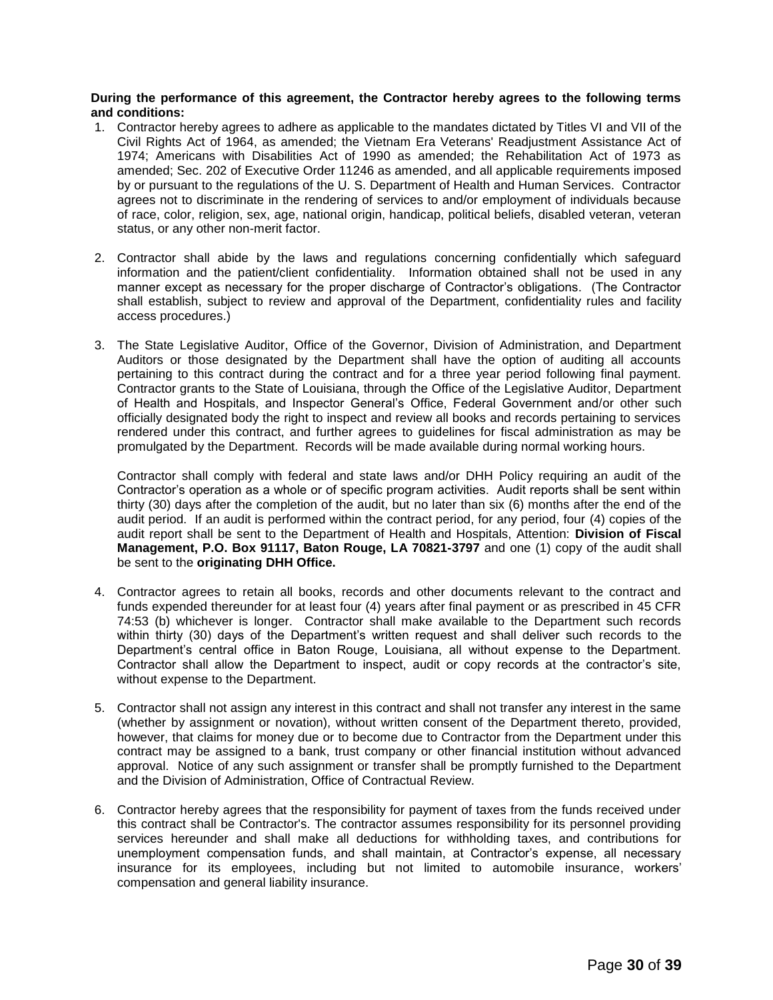#### **During the performance of this agreement, the Contractor hereby agrees to the following terms and conditions:**

- 1. Contractor hereby agrees to adhere as applicable to the mandates dictated by Titles VI and VII of the Civil Rights Act of 1964, as amended; the Vietnam Era Veterans' Readjustment Assistance Act of 1974; Americans with Disabilities Act of 1990 as amended; the Rehabilitation Act of 1973 as amended; Sec. 202 of Executive Order 11246 as amended, and all applicable requirements imposed by or pursuant to the regulations of the U. S. Department of Health and Human Services. Contractor agrees not to discriminate in the rendering of services to and/or employment of individuals because of race, color, religion, sex, age, national origin, handicap, political beliefs, disabled veteran, veteran status, or any other non-merit factor.
- 2. Contractor shall abide by the laws and regulations concerning confidentially which safeguard information and the patient/client confidentiality. Information obtained shall not be used in any manner except as necessary for the proper discharge of Contractor's obligations. (The Contractor shall establish, subject to review and approval of the Department, confidentiality rules and facility access procedures.)
- 3. The State Legislative Auditor, Office of the Governor, Division of Administration, and Department Auditors or those designated by the Department shall have the option of auditing all accounts pertaining to this contract during the contract and for a three year period following final payment. Contractor grants to the State of Louisiana, through the Office of the Legislative Auditor, Department of Health and Hospitals, and Inspector General's Office, Federal Government and/or other such officially designated body the right to inspect and review all books and records pertaining to services rendered under this contract, and further agrees to guidelines for fiscal administration as may be promulgated by the Department. Records will be made available during normal working hours.

Contractor shall comply with federal and state laws and/or DHH Policy requiring an audit of the Contractor's operation as a whole or of specific program activities. Audit reports shall be sent within thirty (30) days after the completion of the audit, but no later than six (6) months after the end of the audit period. If an audit is performed within the contract period, for any period, four (4) copies of the audit report shall be sent to the Department of Health and Hospitals, Attention: **Division of Fiscal Management, P.O. Box 91117, Baton Rouge, LA 70821-3797** and one (1) copy of the audit shall be sent to the **originating DHH Office.**

- 4. Contractor agrees to retain all books, records and other documents relevant to the contract and funds expended thereunder for at least four (4) years after final payment or as prescribed in 45 CFR 74:53 (b) whichever is longer. Contractor shall make available to the Department such records within thirty (30) days of the Department's written request and shall deliver such records to the Department's central office in Baton Rouge, Louisiana, all without expense to the Department. Contractor shall allow the Department to inspect, audit or copy records at the contractor's site, without expense to the Department.
- 5. Contractor shall not assign any interest in this contract and shall not transfer any interest in the same (whether by assignment or novation), without written consent of the Department thereto, provided, however, that claims for money due or to become due to Contractor from the Department under this contract may be assigned to a bank, trust company or other financial institution without advanced approval. Notice of any such assignment or transfer shall be promptly furnished to the Department and the Division of Administration, Office of Contractual Review.
- 6. Contractor hereby agrees that the responsibility for payment of taxes from the funds received under this contract shall be Contractor's. The contractor assumes responsibility for its personnel providing services hereunder and shall make all deductions for withholding taxes, and contributions for unemployment compensation funds, and shall maintain, at Contractor's expense, all necessary insurance for its employees, including but not limited to automobile insurance, workers' compensation and general liability insurance.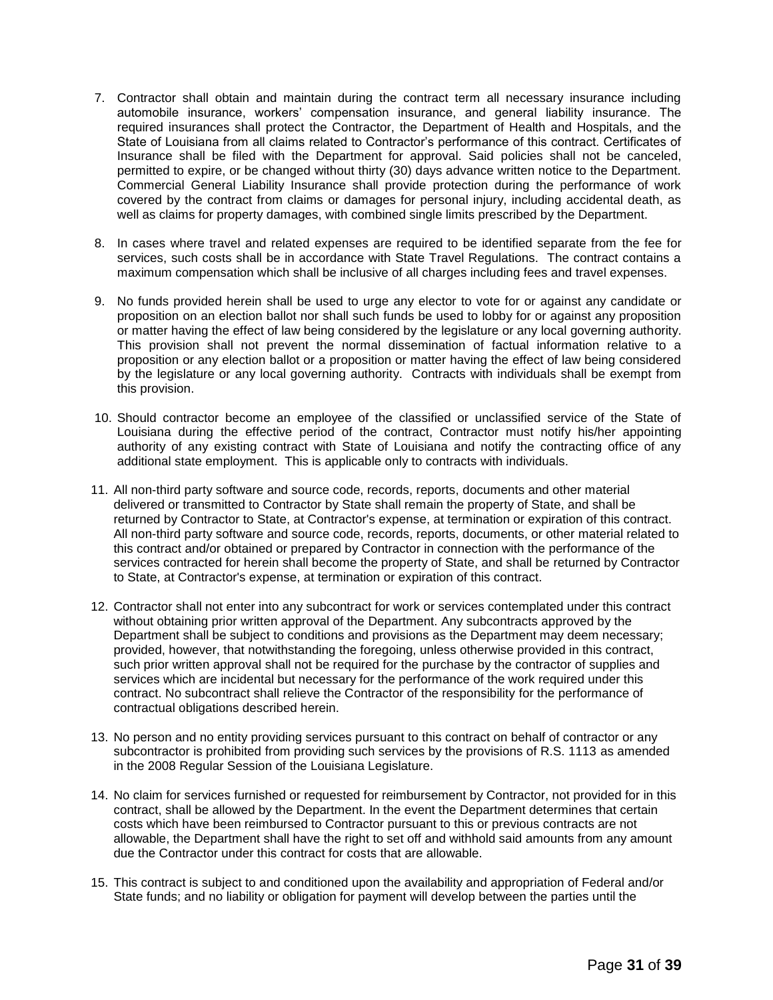- 7. Contractor shall obtain and maintain during the contract term all necessary insurance including automobile insurance, workers' compensation insurance, and general liability insurance. The required insurances shall protect the Contractor, the Department of Health and Hospitals, and the State of Louisiana from all claims related to Contractor's performance of this contract. Certificates of Insurance shall be filed with the Department for approval. Said policies shall not be canceled, permitted to expire, or be changed without thirty (30) days advance written notice to the Department. Commercial General Liability Insurance shall provide protection during the performance of work covered by the contract from claims or damages for personal injury, including accidental death, as well as claims for property damages, with combined single limits prescribed by the Department.
- 8. In cases where travel and related expenses are required to be identified separate from the fee for services, such costs shall be in accordance with State Travel Regulations. The contract contains a maximum compensation which shall be inclusive of all charges including fees and travel expenses.
- 9. No funds provided herein shall be used to urge any elector to vote for or against any candidate or proposition on an election ballot nor shall such funds be used to lobby for or against any proposition or matter having the effect of law being considered by the legislature or any local governing authority. This provision shall not prevent the normal dissemination of factual information relative to a proposition or any election ballot or a proposition or matter having the effect of law being considered by the legislature or any local governing authority. Contracts with individuals shall be exempt from this provision.
- 10. Should contractor become an employee of the classified or unclassified service of the State of Louisiana during the effective period of the contract, Contractor must notify his/her appointing authority of any existing contract with State of Louisiana and notify the contracting office of any additional state employment. This is applicable only to contracts with individuals.
- 11. All non-third party software and source code, records, reports, documents and other material delivered or transmitted to Contractor by State shall remain the property of State, and shall be returned by Contractor to State, at Contractor's expense, at termination or expiration of this contract. All non-third party software and source code, records, reports, documents, or other material related to this contract and/or obtained or prepared by Contractor in connection with the performance of the services contracted for herein shall become the property of State, and shall be returned by Contractor to State, at Contractor's expense, at termination or expiration of this contract.
- 12. Contractor shall not enter into any subcontract for work or services contemplated under this contract without obtaining prior written approval of the Department. Any subcontracts approved by the Department shall be subject to conditions and provisions as the Department may deem necessary; provided, however, that notwithstanding the foregoing, unless otherwise provided in this contract, such prior written approval shall not be required for the purchase by the contractor of supplies and services which are incidental but necessary for the performance of the work required under this contract. No subcontract shall relieve the Contractor of the responsibility for the performance of contractual obligations described herein.
- 13. No person and no entity providing services pursuant to this contract on behalf of contractor or any subcontractor is prohibited from providing such services by the provisions of R.S. 1113 as amended in the 2008 Regular Session of the Louisiana Legislature.
- 14. No claim for services furnished or requested for reimbursement by Contractor, not provided for in this contract, shall be allowed by the Department. In the event the Department determines that certain costs which have been reimbursed to Contractor pursuant to this or previous contracts are not allowable, the Department shall have the right to set off and withhold said amounts from any amount due the Contractor under this contract for costs that are allowable.
- 15. This contract is subject to and conditioned upon the availability and appropriation of Federal and/or State funds; and no liability or obligation for payment will develop between the parties until the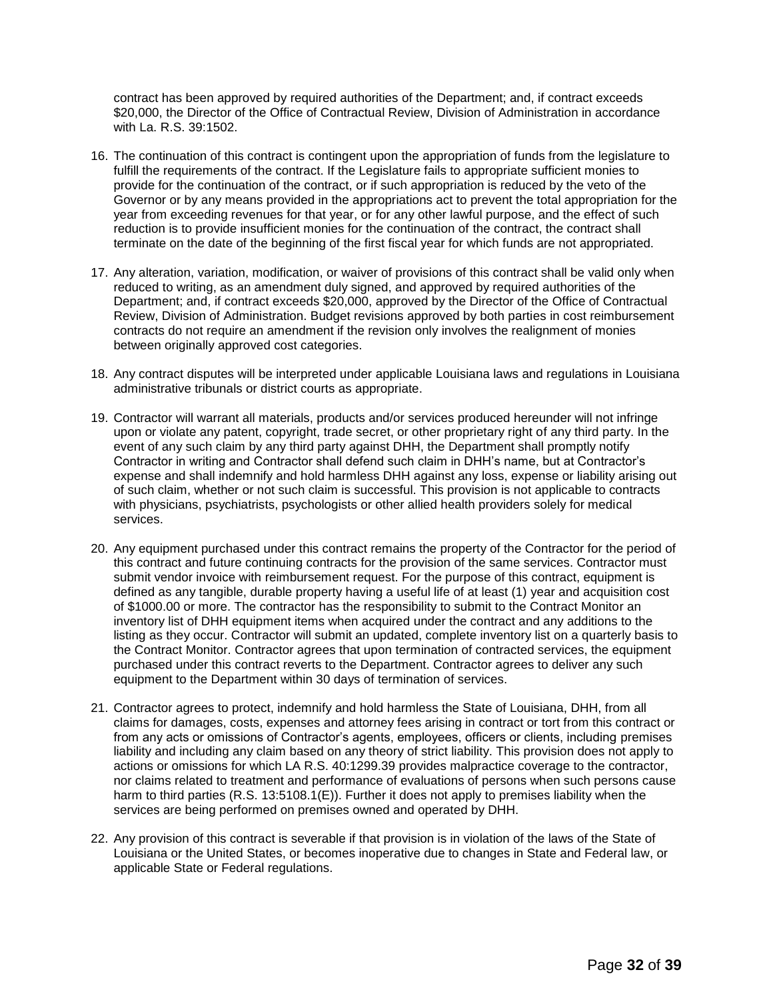contract has been approved by required authorities of the Department; and, if contract exceeds \$20,000, the Director of the Office of Contractual Review, Division of Administration in accordance with La. R.S. 39:1502.

- 16. The continuation of this contract is contingent upon the appropriation of funds from the legislature to fulfill the requirements of the contract. If the Legislature fails to appropriate sufficient monies to provide for the continuation of the contract, or if such appropriation is reduced by the veto of the Governor or by any means provided in the appropriations act to prevent the total appropriation for the year from exceeding revenues for that year, or for any other lawful purpose, and the effect of such reduction is to provide insufficient monies for the continuation of the contract, the contract shall terminate on the date of the beginning of the first fiscal year for which funds are not appropriated.
- 17. Any alteration, variation, modification, or waiver of provisions of this contract shall be valid only when reduced to writing, as an amendment duly signed, and approved by required authorities of the Department; and, if contract exceeds \$20,000, approved by the Director of the Office of Contractual Review, Division of Administration. Budget revisions approved by both parties in cost reimbursement contracts do not require an amendment if the revision only involves the realignment of monies between originally approved cost categories.
- 18. Any contract disputes will be interpreted under applicable Louisiana laws and regulations in Louisiana administrative tribunals or district courts as appropriate.
- 19. Contractor will warrant all materials, products and/or services produced hereunder will not infringe upon or violate any patent, copyright, trade secret, or other proprietary right of any third party. In the event of any such claim by any third party against DHH, the Department shall promptly notify Contractor in writing and Contractor shall defend such claim in DHH's name, but at Contractor's expense and shall indemnify and hold harmless DHH against any loss, expense or liability arising out of such claim, whether or not such claim is successful. This provision is not applicable to contracts with physicians, psychiatrists, psychologists or other allied health providers solely for medical services.
- 20. Any equipment purchased under this contract remains the property of the Contractor for the period of this contract and future continuing contracts for the provision of the same services. Contractor must submit vendor invoice with reimbursement request. For the purpose of this contract, equipment is defined as any tangible, durable property having a useful life of at least (1) year and acquisition cost of \$1000.00 or more. The contractor has the responsibility to submit to the Contract Monitor an inventory list of DHH equipment items when acquired under the contract and any additions to the listing as they occur. Contractor will submit an updated, complete inventory list on a quarterly basis to the Contract Monitor. Contractor agrees that upon termination of contracted services, the equipment purchased under this contract reverts to the Department. Contractor agrees to deliver any such equipment to the Department within 30 days of termination of services.
- 21. Contractor agrees to protect, indemnify and hold harmless the State of Louisiana, DHH, from all claims for damages, costs, expenses and attorney fees arising in contract or tort from this contract or from any acts or omissions of Contractor's agents, employees, officers or clients, including premises liability and including any claim based on any theory of strict liability. This provision does not apply to actions or omissions for which LA R.S. 40:1299.39 provides malpractice coverage to the contractor, nor claims related to treatment and performance of evaluations of persons when such persons cause harm to third parties (R.S. 13:5108.1(E)). Further it does not apply to premises liability when the services are being performed on premises owned and operated by DHH.
- 22. Any provision of this contract is severable if that provision is in violation of the laws of the State of Louisiana or the United States, or becomes inoperative due to changes in State and Federal law, or applicable State or Federal regulations.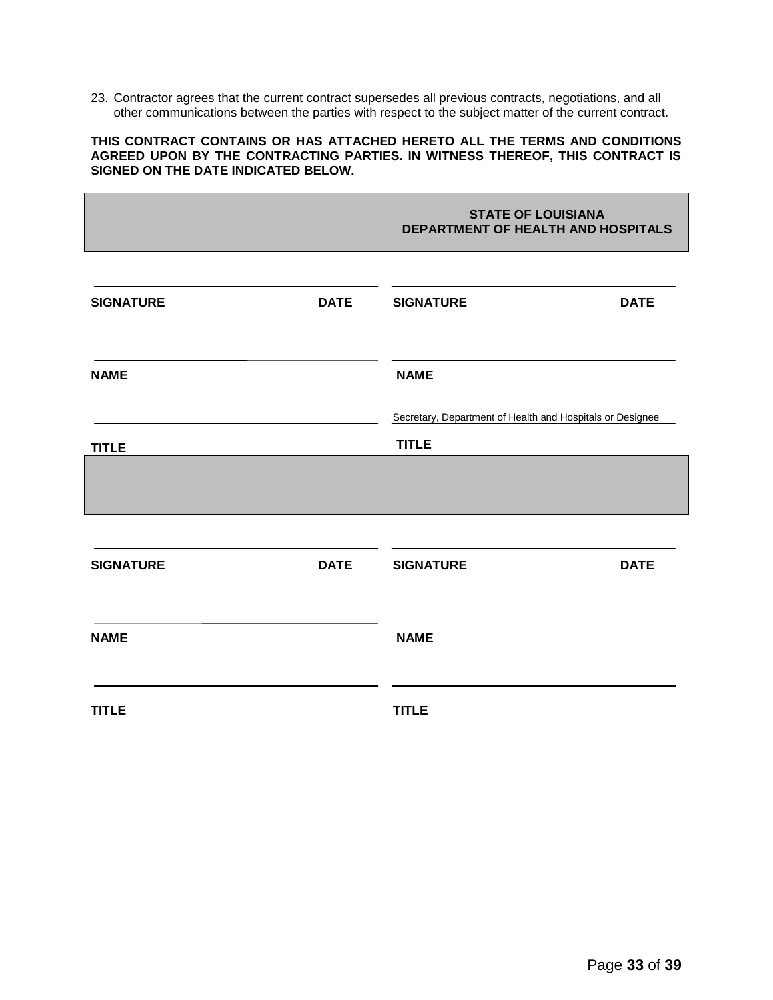23. Contractor agrees that the current contract supersedes all previous contracts, negotiations, and all other communications between the parties with respect to the subject matter of the current contract.

#### **THIS CONTRACT CONTAINS OR HAS ATTACHED HERETO ALL THE TERMS AND CONDITIONS AGREED UPON BY THE CONTRACTING PARTIES. IN WITNESS THEREOF, THIS CONTRACT IS SIGNED ON THE DATE INDICATED BELOW.**

|                  |             | <b>STATE OF LOUISIANA</b><br>DEPARTMENT OF HEALTH AND HOSPITALS           |             |  |
|------------------|-------------|---------------------------------------------------------------------------|-------------|--|
| <b>SIGNATURE</b> | <b>DATE</b> | <b>SIGNATURE</b>                                                          | <b>DATE</b> |  |
| <b>NAME</b>      |             | <b>NAME</b>                                                               |             |  |
| <b>TITLE</b>     |             | Secretary, Department of Health and Hospitals or Designee<br><b>TITLE</b> |             |  |
|                  |             |                                                                           |             |  |
| <b>SIGNATURE</b> | <b>DATE</b> | <b>SIGNATURE</b>                                                          | <b>DATE</b> |  |
| <b>NAME</b>      |             | <b>NAME</b>                                                               |             |  |
| <b>TITLE</b>     |             | <b>TITLE</b>                                                              |             |  |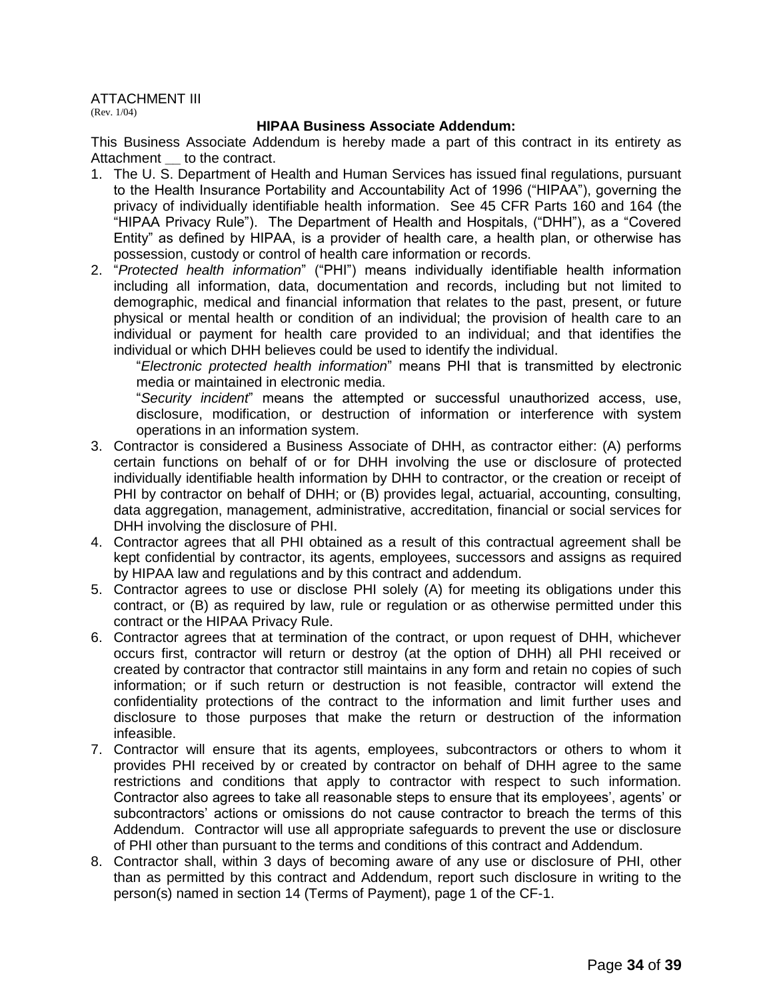ATTACHMENT III

(Rev. 1/04)

#### **HIPAA Business Associate Addendum:**

This Business Associate Addendum is hereby made a part of this contract in its entirety as Attachment **\_\_** to the contract.

- 1. The U. S. Department of Health and Human Services has issued final regulations, pursuant to the Health Insurance Portability and Accountability Act of 1996 ("HIPAA"), governing the privacy of individually identifiable health information. See 45 CFR Parts 160 and 164 (the "HIPAA Privacy Rule"). The Department of Health and Hospitals, ("DHH"), as a "Covered Entity" as defined by HIPAA, is a provider of health care, a health plan, or otherwise has possession, custody or control of health care information or records.
- 2. "*Protected health information*" ("PHI") means individually identifiable health information including all information, data, documentation and records, including but not limited to demographic, medical and financial information that relates to the past, present, or future physical or mental health or condition of an individual; the provision of health care to an individual or payment for health care provided to an individual; and that identifies the individual or which DHH believes could be used to identify the individual.

"*Electronic protected health information*" means PHI that is transmitted by electronic media or maintained in electronic media.

"*Security incident*" means the attempted or successful unauthorized access, use, disclosure, modification, or destruction of information or interference with system operations in an information system.

- 3. Contractor is considered a Business Associate of DHH, as contractor either: (A) performs certain functions on behalf of or for DHH involving the use or disclosure of protected individually identifiable health information by DHH to contractor, or the creation or receipt of PHI by contractor on behalf of DHH; or (B) provides legal, actuarial, accounting, consulting, data aggregation, management, administrative, accreditation, financial or social services for DHH involving the disclosure of PHI.
- 4. Contractor agrees that all PHI obtained as a result of this contractual agreement shall be kept confidential by contractor, its agents, employees, successors and assigns as required by HIPAA law and regulations and by this contract and addendum.
- 5. Contractor agrees to use or disclose PHI solely (A) for meeting its obligations under this contract, or (B) as required by law, rule or regulation or as otherwise permitted under this contract or the HIPAA Privacy Rule.
- 6. Contractor agrees that at termination of the contract, or upon request of DHH, whichever occurs first, contractor will return or destroy (at the option of DHH) all PHI received or created by contractor that contractor still maintains in any form and retain no copies of such information; or if such return or destruction is not feasible, contractor will extend the confidentiality protections of the contract to the information and limit further uses and disclosure to those purposes that make the return or destruction of the information infeasible.
- 7. Contractor will ensure that its agents, employees, subcontractors or others to whom it provides PHI received by or created by contractor on behalf of DHH agree to the same restrictions and conditions that apply to contractor with respect to such information. Contractor also agrees to take all reasonable steps to ensure that its employees', agents' or subcontractors' actions or omissions do not cause contractor to breach the terms of this Addendum. Contractor will use all appropriate safeguards to prevent the use or disclosure of PHI other than pursuant to the terms and conditions of this contract and Addendum.
- 8. Contractor shall, within 3 days of becoming aware of any use or disclosure of PHI, other than as permitted by this contract and Addendum, report such disclosure in writing to the person(s) named in section 14 (Terms of Payment), page 1 of the CF-1.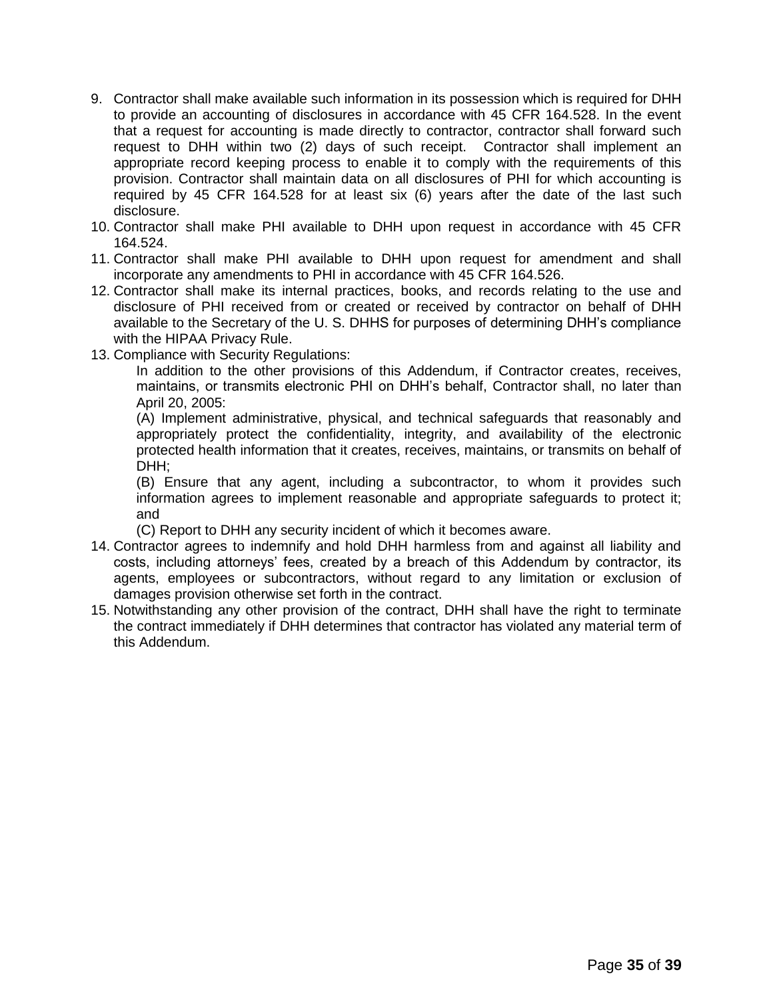- 9. Contractor shall make available such information in its possession which is required for DHH to provide an accounting of disclosures in accordance with 45 CFR 164.528. In the event that a request for accounting is made directly to contractor, contractor shall forward such request to DHH within two (2) days of such receipt. Contractor shall implement an appropriate record keeping process to enable it to comply with the requirements of this provision. Contractor shall maintain data on all disclosures of PHI for which accounting is required by 45 CFR 164.528 for at least six (6) years after the date of the last such disclosure.
- 10. Contractor shall make PHI available to DHH upon request in accordance with 45 CFR 164.524.
- 11. Contractor shall make PHI available to DHH upon request for amendment and shall incorporate any amendments to PHI in accordance with 45 CFR 164.526.
- 12. Contractor shall make its internal practices, books, and records relating to the use and disclosure of PHI received from or created or received by contractor on behalf of DHH available to the Secretary of the U. S. DHHS for purposes of determining DHH's compliance with the HIPAA Privacy Rule.
- 13. Compliance with Security Regulations:

In addition to the other provisions of this Addendum, if Contractor creates, receives, maintains, or transmits electronic PHI on DHH's behalf, Contractor shall, no later than April 20, 2005:

(A) Implement administrative, physical, and technical safeguards that reasonably and appropriately protect the confidentiality, integrity, and availability of the electronic protected health information that it creates, receives, maintains, or transmits on behalf of DHH;

(B) Ensure that any agent, including a subcontractor, to whom it provides such information agrees to implement reasonable and appropriate safeguards to protect it; and

(C) Report to DHH any security incident of which it becomes aware.

- 14. Contractor agrees to indemnify and hold DHH harmless from and against all liability and costs, including attorneys' fees, created by a breach of this Addendum by contractor, its agents, employees or subcontractors, without regard to any limitation or exclusion of damages provision otherwise set forth in the contract.
- 15. Notwithstanding any other provision of the contract, DHH shall have the right to terminate the contract immediately if DHH determines that contractor has violated any material term of this Addendum.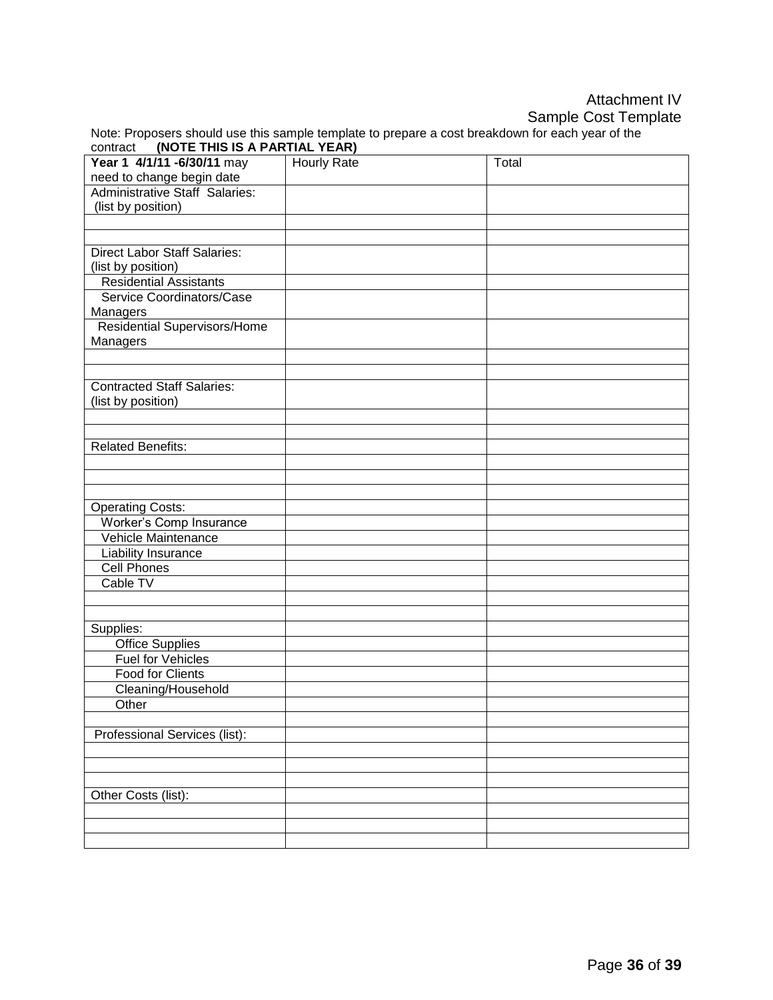## Attachment IV Sample Cost Template

|                                        | Note: Proposers should use this sample template to prepare a cost breakdown for each year of the |
|----------------------------------------|--------------------------------------------------------------------------------------------------|
| contract (NOTE THIS IS A PARTIAL YEAR) |                                                                                                  |

| Year 1 4/1/11 - 6/30/11 may           | <b>Hourly Rate</b> | Total |
|---------------------------------------|--------------------|-------|
| need to change begin date             |                    |       |
| <b>Administrative Staff Salaries:</b> |                    |       |
| (list by position)                    |                    |       |
|                                       |                    |       |
|                                       |                    |       |
| <b>Direct Labor Staff Salaries:</b>   |                    |       |
| (list by position)                    |                    |       |
| <b>Residential Assistants</b>         |                    |       |
| Service Coordinators/Case             |                    |       |
| Managers                              |                    |       |
| Residential Supervisors/Home          |                    |       |
| Managers                              |                    |       |
|                                       |                    |       |
|                                       |                    |       |
| <b>Contracted Staff Salaries:</b>     |                    |       |
| (list by position)                    |                    |       |
|                                       |                    |       |
|                                       |                    |       |
| <b>Related Benefits:</b>              |                    |       |
|                                       |                    |       |
|                                       |                    |       |
|                                       |                    |       |
| <b>Operating Costs:</b>               |                    |       |
| Worker's Comp Insurance               |                    |       |
| Vehicle Maintenance                   |                    |       |
| Liability Insurance                   |                    |       |
| <b>Cell Phones</b>                    |                    |       |
| Cable TV                              |                    |       |
|                                       |                    |       |
|                                       |                    |       |
| Supplies:                             |                    |       |
| <b>Office Supplies</b>                |                    |       |
| <b>Fuel for Vehicles</b>              |                    |       |
| <b>Food for Clients</b>               |                    |       |
| Cleaning/Household                    |                    |       |
| Other                                 |                    |       |
|                                       |                    |       |
| Professional Services (list):         |                    |       |
|                                       |                    |       |
|                                       |                    |       |
|                                       |                    |       |
| Other Costs (list):                   |                    |       |
|                                       |                    |       |
|                                       |                    |       |
|                                       |                    |       |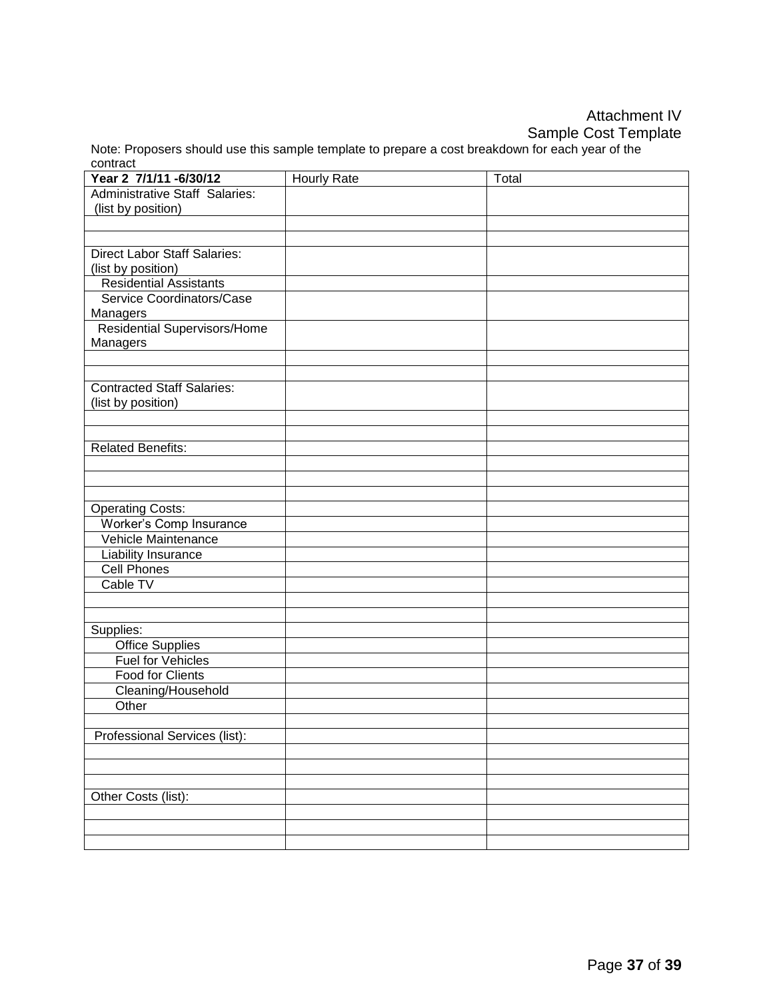## Attachment IV Sample Cost Template

Note: Proposers should use this sample template to prepare a cost breakdown for each year of the contract

| Year 2 7/1/11 - 6/30/12                             | <b>Hourly Rate</b> | Total |
|-----------------------------------------------------|--------------------|-------|
| <b>Administrative Staff Salaries:</b>               |                    |       |
| (list by position)                                  |                    |       |
|                                                     |                    |       |
|                                                     |                    |       |
| <b>Direct Labor Staff Salaries:</b>                 |                    |       |
| (list by position)                                  |                    |       |
| <b>Residential Assistants</b>                       |                    |       |
| Service Coordinators/Case                           |                    |       |
| Managers                                            |                    |       |
| <b>Residential Supervisors/Home</b>                 |                    |       |
| Managers                                            |                    |       |
|                                                     |                    |       |
| <b>Contracted Staff Salaries:</b>                   |                    |       |
| (list by position)                                  |                    |       |
|                                                     |                    |       |
|                                                     |                    |       |
| <b>Related Benefits:</b>                            |                    |       |
|                                                     |                    |       |
|                                                     |                    |       |
|                                                     |                    |       |
| <b>Operating Costs:</b>                             |                    |       |
| Worker's Comp Insurance                             |                    |       |
| Vehicle Maintenance                                 |                    |       |
| Liability Insurance                                 |                    |       |
| <b>Cell Phones</b>                                  |                    |       |
| Cable TV                                            |                    |       |
|                                                     |                    |       |
|                                                     |                    |       |
| Supplies:                                           |                    |       |
| <b>Office Supplies</b>                              |                    |       |
| <b>Fuel for Vehicles</b><br><b>Food for Clients</b> |                    |       |
|                                                     |                    |       |
| Cleaning/Household<br>Other                         |                    |       |
|                                                     |                    |       |
| Professional Services (list):                       |                    |       |
|                                                     |                    |       |
|                                                     |                    |       |
|                                                     |                    |       |
| Other Costs (list):                                 |                    |       |
|                                                     |                    |       |
|                                                     |                    |       |
|                                                     |                    |       |
|                                                     |                    |       |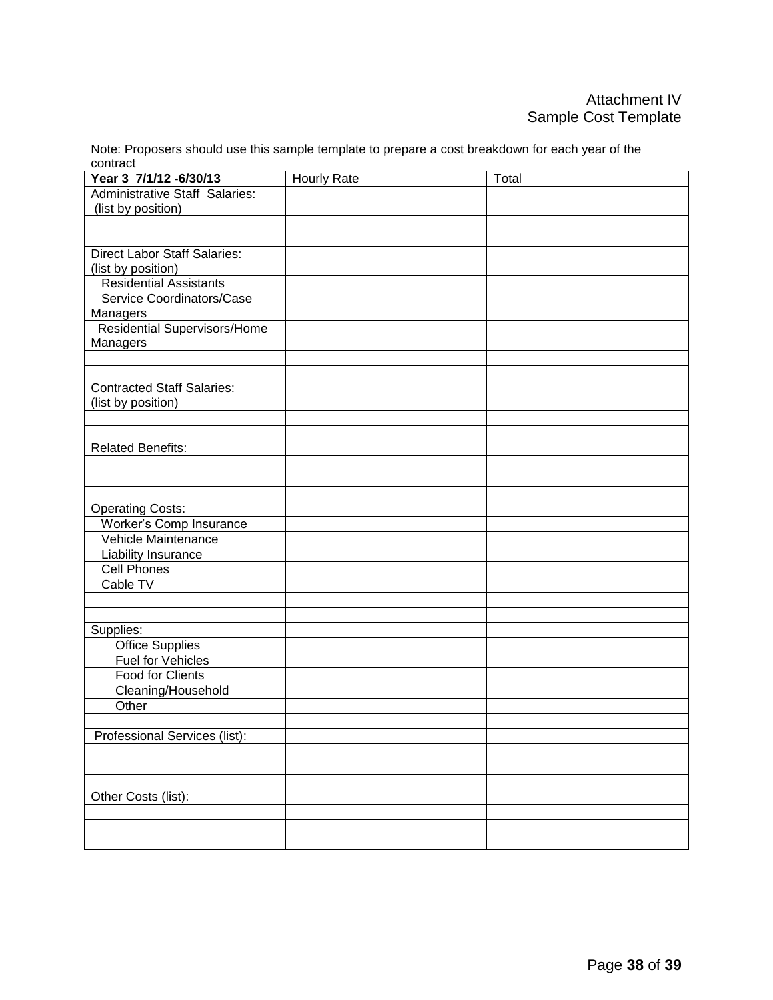Note: Proposers should use this sample template to prepare a cost breakdown for each year of the contract

| Year 3 7/1/12 - 6/30/13               | <b>Hourly Rate</b> | Total |
|---------------------------------------|--------------------|-------|
| <b>Administrative Staff Salaries:</b> |                    |       |
| (list by position)                    |                    |       |
|                                       |                    |       |
|                                       |                    |       |
| <b>Direct Labor Staff Salaries:</b>   |                    |       |
| (list by position)                    |                    |       |
| <b>Residential Assistants</b>         |                    |       |
| Service Coordinators/Case             |                    |       |
| Managers                              |                    |       |
| Residential Supervisors/Home          |                    |       |
| Managers                              |                    |       |
|                                       |                    |       |
| <b>Contracted Staff Salaries:</b>     |                    |       |
| (list by position)                    |                    |       |
|                                       |                    |       |
|                                       |                    |       |
| <b>Related Benefits:</b>              |                    |       |
|                                       |                    |       |
|                                       |                    |       |
|                                       |                    |       |
| <b>Operating Costs:</b>               |                    |       |
| Worker's Comp Insurance               |                    |       |
| Vehicle Maintenance                   |                    |       |
| <b>Liability Insurance</b>            |                    |       |
| <b>Cell Phones</b>                    |                    |       |
| Cable TV                              |                    |       |
|                                       |                    |       |
|                                       |                    |       |
| Supplies:                             |                    |       |
| <b>Office Supplies</b>                |                    |       |
| <b>Fuel for Vehicles</b>              |                    |       |
| <b>Food for Clients</b>               |                    |       |
| Cleaning/Household                    |                    |       |
| Other                                 |                    |       |
|                                       |                    |       |
| Professional Services (list):         |                    |       |
|                                       |                    |       |
|                                       |                    |       |
|                                       |                    |       |
| Other Costs (list):                   |                    |       |
|                                       |                    |       |
|                                       |                    |       |
|                                       |                    |       |